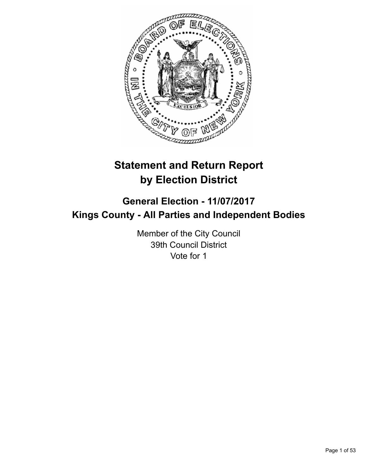

# **Statement and Return Report by Election District**

# **General Election - 11/07/2017 Kings County - All Parties and Independent Bodies**

Member of the City Council 39th Council District Vote for 1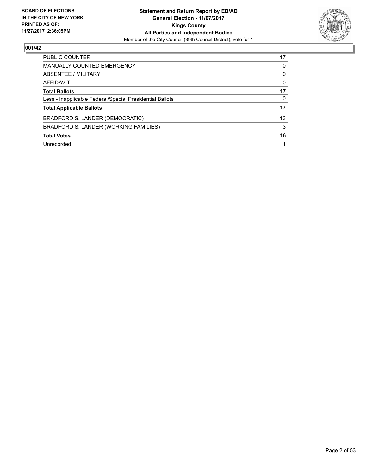

| <b>PUBLIC COUNTER</b>                                    | 17 |
|----------------------------------------------------------|----|
| MANUALLY COUNTED EMERGENCY                               | 0  |
| ABSENTEE / MILITARY                                      | 0  |
| AFFIDAVIT                                                | 0  |
| <b>Total Ballots</b>                                     | 17 |
| Less - Inapplicable Federal/Special Presidential Ballots | 0  |
| <b>Total Applicable Ballots</b>                          | 17 |
| BRADFORD S. LANDER (DEMOCRATIC)                          | 13 |
| BRADFORD S. LANDER (WORKING FAMILIES)                    | 3  |
| <b>Total Votes</b>                                       | 16 |
| Unrecorded                                               |    |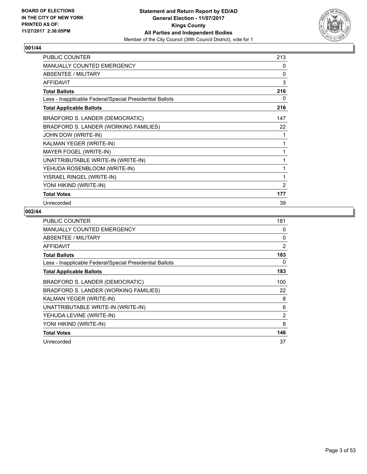

| <b>PUBLIC COUNTER</b>                                    | 213 |
|----------------------------------------------------------|-----|
| <b>MANUALLY COUNTED EMERGENCY</b>                        | 0   |
| ABSENTEE / MILITARY                                      | 0   |
| <b>AFFIDAVIT</b>                                         | 3   |
| <b>Total Ballots</b>                                     | 216 |
| Less - Inapplicable Federal/Special Presidential Ballots | 0   |
| <b>Total Applicable Ballots</b>                          | 216 |
| BRADFORD S. LANDER (DEMOCRATIC)                          | 147 |
| BRADFORD S. LANDER (WORKING FAMILIES)                    | 22  |
| JOHN DOW (WRITE-IN)                                      | 1   |
| KALMAN YEGER (WRITE-IN)                                  | 1   |
| MAYER FOGEL (WRITE-IN)                                   |     |
| UNATTRIBUTABLE WRITE-IN (WRITE-IN)                       | 1   |
| YEHUDA ROSENBLOOM (WRITE-IN)                             | 1   |
| YISRAEL RINGEL (WRITE-IN)                                | 1   |
| YONI HIKIND (WRITE-IN)                                   | 2   |
| <b>Total Votes</b>                                       | 177 |
| Unrecorded                                               | 39  |

| <b>PUBLIC COUNTER</b>                                    | 181            |
|----------------------------------------------------------|----------------|
| <b>MANUALLY COUNTED EMERGENCY</b>                        | 0              |
| ABSENTEE / MILITARY                                      | 0              |
| <b>AFFIDAVIT</b>                                         | 2              |
| <b>Total Ballots</b>                                     | 183            |
| Less - Inapplicable Federal/Special Presidential Ballots | 0              |
| <b>Total Applicable Ballots</b>                          | 183            |
| BRADFORD S. LANDER (DEMOCRATIC)                          | 100            |
| BRADFORD S. LANDER (WORKING FAMILIES)                    | 22             |
| KALMAN YEGER (WRITE-IN)                                  | 8              |
| UNATTRIBUTABLE WRITE-IN (WRITE-IN)                       | 6              |
| YEHUDA LEVINE (WRITE-IN)                                 | $\overline{2}$ |
| YONI HIKIND (WRITE-IN)                                   | 8              |
| <b>Total Votes</b>                                       | 146            |
| Unrecorded                                               | 37             |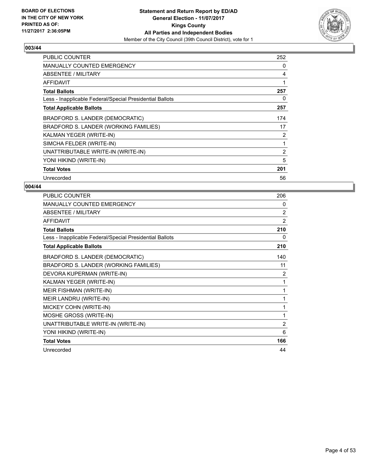

| <b>PUBLIC COUNTER</b>                                    | 252 |
|----------------------------------------------------------|-----|
| MANUALLY COUNTED EMERGENCY                               | 0   |
| ABSENTEE / MILITARY                                      | 4   |
| <b>AFFIDAVIT</b>                                         | 1   |
| <b>Total Ballots</b>                                     | 257 |
| Less - Inapplicable Federal/Special Presidential Ballots | 0   |
| <b>Total Applicable Ballots</b>                          | 257 |
| BRADFORD S. LANDER (DEMOCRATIC)                          | 174 |
| BRADFORD S. LANDER (WORKING FAMILIES)                    | 17  |
| KALMAN YEGER (WRITE-IN)                                  | 2   |
| SIMCHA FELDER (WRITE-IN)                                 | 1   |
| UNATTRIBUTABLE WRITE-IN (WRITE-IN)                       | 2   |
| YONI HIKIND (WRITE-IN)                                   | 5   |
| <b>Total Votes</b>                                       | 201 |
| Unrecorded                                               | 56  |

| PUBLIC COUNTER                                           | 206            |
|----------------------------------------------------------|----------------|
| <b>MANUALLY COUNTED EMERGENCY</b>                        | 0              |
| <b>ABSENTEE / MILITARY</b>                               | 2              |
| <b>AFFIDAVIT</b>                                         | $\overline{2}$ |
| <b>Total Ballots</b>                                     | 210            |
| Less - Inapplicable Federal/Special Presidential Ballots | 0              |
| <b>Total Applicable Ballots</b>                          | 210            |
| BRADFORD S. LANDER (DEMOCRATIC)                          | 140            |
| BRADFORD S. LANDER (WORKING FAMILIES)                    | 11             |
| DEVORA KUPERMAN (WRITE-IN)                               | 2              |
| KALMAN YEGER (WRITE-IN)                                  | 1              |
| MEIR FISHMAN (WRITE-IN)                                  | 1              |
| MEIR LANDRU (WRITE-IN)                                   | 1              |
| MICKEY COHN (WRITE-IN)                                   | 1              |
| MOSHE GROSS (WRITE-IN)                                   | 1              |
| UNATTRIBUTABLE WRITE-IN (WRITE-IN)                       | $\overline{2}$ |
| YONI HIKIND (WRITE-IN)                                   | 6              |
| <b>Total Votes</b>                                       | 166            |
| Unrecorded                                               | 44             |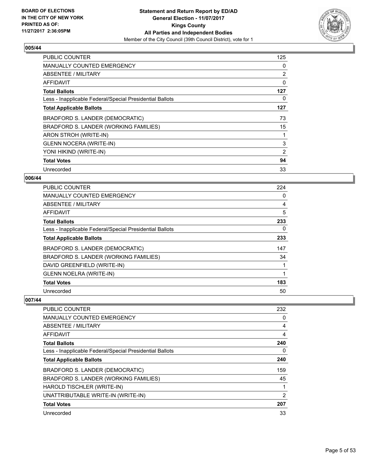

| <b>PUBLIC COUNTER</b>                                    | 125 |
|----------------------------------------------------------|-----|
| <b>MANUALLY COUNTED EMERGENCY</b>                        | 0   |
| ABSENTEE / MILITARY                                      | 2   |
| AFFIDAVIT                                                | 0   |
| <b>Total Ballots</b>                                     | 127 |
| Less - Inapplicable Federal/Special Presidential Ballots | 0   |
| <b>Total Applicable Ballots</b>                          | 127 |
| BRADFORD S. LANDER (DEMOCRATIC)                          | 73  |
| BRADFORD S. LANDER (WORKING FAMILIES)                    | 15  |
| ARON STROH (WRITE-IN)                                    |     |
| <b>GLENN NOCERA (WRITE-IN)</b>                           | 3   |
| YONI HIKIND (WRITE-IN)                                   | 2   |
| <b>Total Votes</b>                                       | 94  |
| Unrecorded                                               | 33  |

# **006/44**

| PUBLIC COUNTER                                           | 224 |
|----------------------------------------------------------|-----|
| <b>MANUALLY COUNTED EMERGENCY</b>                        | 0   |
| ABSENTEE / MILITARY                                      | 4   |
| AFFIDAVIT                                                | 5   |
| <b>Total Ballots</b>                                     | 233 |
| Less - Inapplicable Federal/Special Presidential Ballots | 0   |
| <b>Total Applicable Ballots</b>                          | 233 |
| BRADFORD S. LANDER (DEMOCRATIC)                          | 147 |
| BRADFORD S. LANDER (WORKING FAMILIES)                    | 34  |
| DAVID GREENFIELD (WRITE-IN)                              |     |
| <b>GLENN NOELRA (WRITE-IN)</b>                           | 1   |
| <b>Total Votes</b>                                       | 183 |
| Unrecorded                                               | 50  |

| PUBLIC COUNTER                                           | 232 |
|----------------------------------------------------------|-----|
| <b>MANUALLY COUNTED EMERGENCY</b>                        | 0   |
| ABSENTEE / MILITARY                                      | 4   |
| AFFIDAVIT                                                | 4   |
| <b>Total Ballots</b>                                     | 240 |
| Less - Inapplicable Federal/Special Presidential Ballots | 0   |
| <b>Total Applicable Ballots</b>                          | 240 |
| BRADFORD S. LANDER (DEMOCRATIC)                          | 159 |
| BRADFORD S. LANDER (WORKING FAMILIES)                    | 45  |
| HAROLD TISCHLER (WRITE-IN)                               |     |
| UNATTRIBUTABLE WRITE-IN (WRITE-IN)                       | 2   |
| <b>Total Votes</b>                                       | 207 |
| Unrecorded                                               | 33  |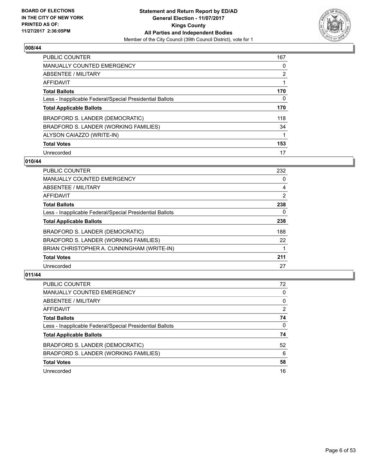

| <b>PUBLIC COUNTER</b>                                    | 167            |
|----------------------------------------------------------|----------------|
| <b>MANUALLY COUNTED EMERGENCY</b>                        | 0              |
| ABSENTEE / MILITARY                                      | $\overline{2}$ |
| AFFIDAVIT                                                |                |
| <b>Total Ballots</b>                                     | 170            |
| Less - Inapplicable Federal/Special Presidential Ballots | 0              |
| <b>Total Applicable Ballots</b>                          | 170            |
| BRADFORD S. LANDER (DEMOCRATIC)                          | 118            |
| BRADFORD S. LANDER (WORKING FAMILIES)                    | 34             |
| ALYSON CAIAZZO (WRITE-IN)                                |                |
| <b>Total Votes</b>                                       | 153            |
| Unrecorded                                               | 17             |

#### **010/44**

| <b>PUBLIC COUNTER</b>                                    | 232 |
|----------------------------------------------------------|-----|
| MANUALLY COUNTED EMERGENCY                               | 0   |
| ABSENTEE / MILITARY                                      | 4   |
| <b>AFFIDAVIT</b>                                         | 2   |
| <b>Total Ballots</b>                                     | 238 |
| Less - Inapplicable Federal/Special Presidential Ballots | 0   |
| <b>Total Applicable Ballots</b>                          | 238 |
| BRADFORD S. LANDER (DEMOCRATIC)                          | 188 |
| BRADFORD S. LANDER (WORKING FAMILIES)                    | 22  |
| BRIAN CHRISTOPHER A. CUNNINGHAM (WRITE-IN)               |     |
| <b>Total Votes</b>                                       | 211 |
| Unrecorded                                               | 27  |

| <b>PUBLIC COUNTER</b>                                    | 72 |
|----------------------------------------------------------|----|
| <b>MANUALLY COUNTED EMERGENCY</b>                        | 0  |
| ABSENTEE / MILITARY                                      | 0  |
| AFFIDAVIT                                                | 2  |
| <b>Total Ballots</b>                                     | 74 |
| Less - Inapplicable Federal/Special Presidential Ballots | 0  |
| <b>Total Applicable Ballots</b>                          | 74 |
| BRADFORD S. LANDER (DEMOCRATIC)                          | 52 |
| BRADFORD S. LANDER (WORKING FAMILIES)                    | 6  |
| <b>Total Votes</b>                                       | 58 |
| Unrecorded                                               | 16 |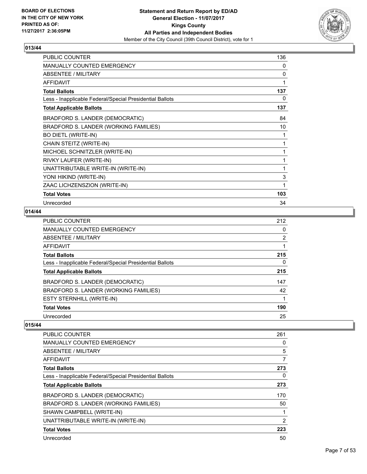

| <b>PUBLIC COUNTER</b>                                    | 136 |
|----------------------------------------------------------|-----|
| <b>MANUALLY COUNTED EMERGENCY</b>                        | 0   |
| <b>ABSENTEE / MILITARY</b>                               | 0   |
| <b>AFFIDAVIT</b>                                         | 1   |
| <b>Total Ballots</b>                                     | 137 |
| Less - Inapplicable Federal/Special Presidential Ballots | 0   |
| <b>Total Applicable Ballots</b>                          | 137 |
| BRADFORD S. LANDER (DEMOCRATIC)                          | 84  |
| BRADFORD S. LANDER (WORKING FAMILIES)                    | 10  |
| <b>BO DIETL (WRITE-IN)</b>                               |     |
| CHAIN STEITZ (WRITE-IN)                                  |     |
| MICHOEL SCHNITZLER (WRITE-IN)                            |     |
| RIVKY LAUFER (WRITE-IN)                                  | 1   |
| UNATTRIBUTABLE WRITE-IN (WRITE-IN)                       | 1   |
| YONI HIKIND (WRITE-IN)                                   | 3   |
| ZAAC LICHZENSZION (WRITE-IN)                             | 1   |
| <b>Total Votes</b>                                       | 103 |
| Unrecorded                                               | 34  |

# **014/44**

| <b>PUBLIC COUNTER</b>                                    | 212            |
|----------------------------------------------------------|----------------|
| <b>MANUALLY COUNTED EMERGENCY</b>                        | 0              |
| ABSENTEE / MILITARY                                      | $\overline{2}$ |
| AFFIDAVIT                                                |                |
| <b>Total Ballots</b>                                     | 215            |
| Less - Inapplicable Federal/Special Presidential Ballots | 0              |
| <b>Total Applicable Ballots</b>                          | 215            |
| BRADFORD S. LANDER (DEMOCRATIC)                          | 147            |
| BRADFORD S. LANDER (WORKING FAMILIES)                    | 42             |
| ESTY STERNHILL (WRITE-IN)                                |                |
| <b>Total Votes</b>                                       | 190            |
| Unrecorded                                               | 25             |

| <b>PUBLIC COUNTER</b>                                    | 261            |
|----------------------------------------------------------|----------------|
| <b>MANUALLY COUNTED EMERGENCY</b>                        | 0              |
| ABSENTEE / MILITARY                                      | 5              |
| AFFIDAVIT                                                | 7              |
| <b>Total Ballots</b>                                     | 273            |
| Less - Inapplicable Federal/Special Presidential Ballots | 0              |
| <b>Total Applicable Ballots</b>                          | 273            |
| BRADFORD S. LANDER (DEMOCRATIC)                          | 170            |
| BRADFORD S. LANDER (WORKING FAMILIES)                    | 50             |
| SHAWN CAMPBELL (WRITE-IN)                                |                |
| UNATTRIBUTABLE WRITE-IN (WRITE-IN)                       | $\overline{2}$ |
| <b>Total Votes</b>                                       | 223            |
| Unrecorded                                               | 50             |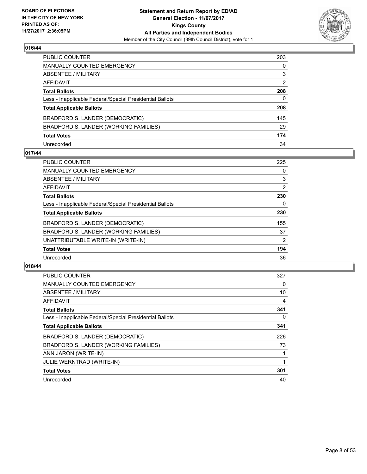

| PUBLIC COUNTER                                           | 203            |
|----------------------------------------------------------|----------------|
| MANUALLY COUNTED EMERGENCY                               | 0              |
| ABSENTEE / MILITARY                                      | 3              |
| AFFIDAVIT                                                | $\overline{2}$ |
| Total Ballots                                            | 208            |
| Less - Inapplicable Federal/Special Presidential Ballots | 0              |
| <b>Total Applicable Ballots</b>                          | 208            |
| BRADFORD S. LANDER (DEMOCRATIC)                          | 145            |
| BRADFORD S. LANDER (WORKING FAMILIES)                    | 29             |
| <b>Total Votes</b>                                       | 174            |
| Unrecorded                                               | 34             |

#### **017/44**

| <b>PUBLIC COUNTER</b>                                    | 225            |
|----------------------------------------------------------|----------------|
| <b>MANUALLY COUNTED EMERGENCY</b>                        | 0              |
| ABSENTEE / MILITARY                                      | 3              |
| AFFIDAVIT                                                | 2              |
| <b>Total Ballots</b>                                     | 230            |
| Less - Inapplicable Federal/Special Presidential Ballots | 0              |
| <b>Total Applicable Ballots</b>                          | 230            |
| BRADFORD S. LANDER (DEMOCRATIC)                          | 155            |
| BRADFORD S. LANDER (WORKING FAMILIES)                    | 37             |
| UNATTRIBUTABLE WRITE-IN (WRITE-IN)                       | $\overline{2}$ |
| <b>Total Votes</b>                                       | 194            |
| Unrecorded                                               | 36             |

| <b>PUBLIC COUNTER</b>                                    | 327 |
|----------------------------------------------------------|-----|
| <b>MANUALLY COUNTED EMERGENCY</b>                        | 0   |
| ABSENTEE / MILITARY                                      | 10  |
| AFFIDAVIT                                                | 4   |
| <b>Total Ballots</b>                                     | 341 |
| Less - Inapplicable Federal/Special Presidential Ballots | 0   |
| <b>Total Applicable Ballots</b>                          | 341 |
| BRADFORD S. LANDER (DEMOCRATIC)                          | 226 |
| BRADFORD S. LANDER (WORKING FAMILIES)                    | 73  |
| ANN JARON (WRITE-IN)                                     |     |
| <b>JULIE WERNTRAD (WRITE-IN)</b>                         |     |
| <b>Total Votes</b>                                       | 301 |
| Unrecorded                                               | 40  |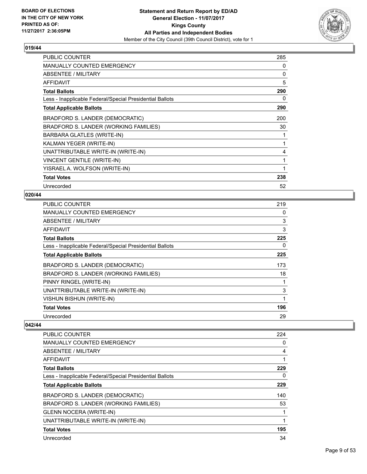

| <b>PUBLIC COUNTER</b>                                    | 285 |
|----------------------------------------------------------|-----|
| <b>MANUALLY COUNTED EMERGENCY</b>                        | 0   |
| ABSENTEE / MILITARY                                      | 0   |
| <b>AFFIDAVIT</b>                                         | 5   |
| <b>Total Ballots</b>                                     | 290 |
| Less - Inapplicable Federal/Special Presidential Ballots | 0   |
| <b>Total Applicable Ballots</b>                          | 290 |
| BRADFORD S. LANDER (DEMOCRATIC)                          | 200 |
| BRADFORD S. LANDER (WORKING FAMILIES)                    | 30  |
| BARBARA GLATLES (WRITE-IN)                               | 1   |
| KALMAN YEGER (WRITE-IN)                                  | 1   |
| UNATTRIBUTABLE WRITE-IN (WRITE-IN)                       | 4   |
| <b>VINCENT GENTILE (WRITE-IN)</b>                        | 1   |
| YISRAEL A. WOLFSON (WRITE-IN)                            | 1   |
| <b>Total Votes</b>                                       | 238 |
| Unrecorded                                               | 52  |

# **020/44**

| <b>PUBLIC COUNTER</b>                                    | 219 |
|----------------------------------------------------------|-----|
| MANUALLY COUNTED EMERGENCY                               | 0   |
| ABSENTEE / MILITARY                                      | 3   |
| <b>AFFIDAVIT</b>                                         | 3   |
| <b>Total Ballots</b>                                     | 225 |
| Less - Inapplicable Federal/Special Presidential Ballots | 0   |
| <b>Total Applicable Ballots</b>                          | 225 |
| BRADFORD S. LANDER (DEMOCRATIC)                          | 173 |
| BRADFORD S. LANDER (WORKING FAMILIES)                    | 18  |
| PINNY RINGEL (WRITE-IN)                                  |     |
| UNATTRIBUTABLE WRITE-IN (WRITE-IN)                       | 3   |
| VISHUN BISHUN (WRITE-IN)                                 | 1   |
| <b>Total Votes</b>                                       | 196 |
| Unrecorded                                               | 29  |

| <b>PUBLIC COUNTER</b>                                    | 224 |
|----------------------------------------------------------|-----|
| <b>MANUALLY COUNTED EMERGENCY</b>                        | 0   |
| ABSENTEE / MILITARY                                      | 4   |
| AFFIDAVIT                                                | 1   |
| <b>Total Ballots</b>                                     | 229 |
| Less - Inapplicable Federal/Special Presidential Ballots | 0   |
| <b>Total Applicable Ballots</b>                          | 229 |
| BRADFORD S. LANDER (DEMOCRATIC)                          | 140 |
| BRADFORD S. LANDER (WORKING FAMILIES)                    | 53  |
| <b>GLENN NOCERA (WRITE-IN)</b>                           |     |
| UNATTRIBUTABLE WRITE-IN (WRITE-IN)                       |     |
| <b>Total Votes</b>                                       | 195 |
| Unrecorded                                               | 34  |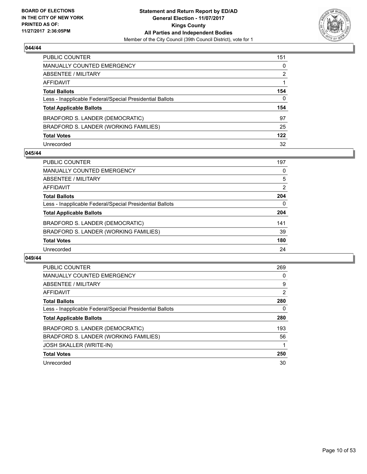

| PUBLIC COUNTER                                           | 151          |
|----------------------------------------------------------|--------------|
| MANUALLY COUNTED EMERGENCY                               | 0            |
| ABSENTEE / MILITARY                                      | 2            |
| AFFIDAVIT                                                |              |
| <b>Total Ballots</b>                                     | 154          |
| Less - Inapplicable Federal/Special Presidential Ballots | $\mathbf{0}$ |
| <b>Total Applicable Ballots</b>                          | 154          |
| BRADFORD S. LANDER (DEMOCRATIC)                          | 97           |
| BRADFORD S. LANDER (WORKING FAMILIES)                    | 25           |
| <b>Total Votes</b>                                       | 122          |
| Unrecorded                                               | 32           |

#### **045/44**

| <b>PUBLIC COUNTER</b>                                    | 197 |
|----------------------------------------------------------|-----|
| MANUALLY COUNTED EMERGENCY                               | 0   |
| ABSENTEE / MILITARY                                      | 5   |
| AFFIDAVIT                                                | 2   |
| <b>Total Ballots</b>                                     | 204 |
| Less - Inapplicable Federal/Special Presidential Ballots | 0   |
| <b>Total Applicable Ballots</b>                          | 204 |
| BRADFORD S. LANDER (DEMOCRATIC)                          | 141 |
| BRADFORD S. LANDER (WORKING FAMILIES)                    | 39  |
| <b>Total Votes</b>                                       | 180 |
| Unrecorded                                               | 24  |

| PUBLIC COUNTER                                           | 269 |
|----------------------------------------------------------|-----|
| <b>MANUALLY COUNTED EMERGENCY</b>                        | 0   |
| ABSENTEE / MILITARY                                      | 9   |
| AFFIDAVIT                                                | 2   |
| <b>Total Ballots</b>                                     | 280 |
| Less - Inapplicable Federal/Special Presidential Ballots | 0   |
| <b>Total Applicable Ballots</b>                          | 280 |
| BRADFORD S. LANDER (DEMOCRATIC)                          | 193 |
| BRADFORD S. LANDER (WORKING FAMILIES)                    | 56  |
| <b>JOSH SKALLER (WRITE-IN)</b>                           |     |
| <b>Total Votes</b>                                       | 250 |
| Unrecorded                                               | 30  |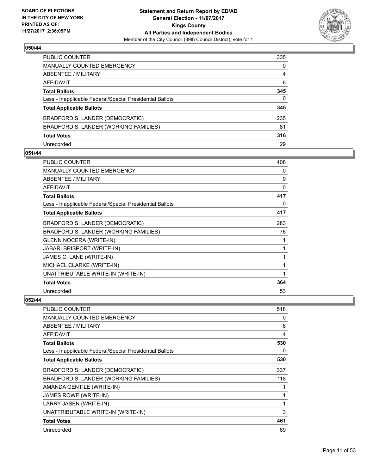

| PUBLIC COUNTER                                           | 335 |
|----------------------------------------------------------|-----|
| MANUALLY COUNTED EMERGENCY                               | 0   |
| ABSENTEE / MILITARY                                      | 4   |
| AFFIDAVIT                                                | 6   |
| Total Ballots                                            | 345 |
| Less - Inapplicable Federal/Special Presidential Ballots | 0   |
| <b>Total Applicable Ballots</b>                          | 345 |
| BRADFORD S. LANDER (DEMOCRATIC)                          | 235 |
| BRADFORD S. LANDER (WORKING FAMILIES)                    | 81  |
| <b>Total Votes</b>                                       | 316 |
| Unrecorded                                               | 29  |

#### **051/44**

| <b>PUBLIC COUNTER</b>                                    | 408 |
|----------------------------------------------------------|-----|
| <b>MANUALLY COUNTED EMERGENCY</b>                        | 0   |
| ABSENTEE / MILITARY                                      | 9   |
| <b>AFFIDAVIT</b>                                         | 0   |
| <b>Total Ballots</b>                                     | 417 |
| Less - Inapplicable Federal/Special Presidential Ballots | 0   |
| <b>Total Applicable Ballots</b>                          | 417 |
| BRADFORD S. LANDER (DEMOCRATIC)                          | 283 |
| BRADFORD S. LANDER (WORKING FAMILIES)                    | 76  |
| <b>GLENN NOCERA (WRITE-IN)</b>                           | 1   |
| <b>JABARI BRISPORT (WRITE-IN)</b>                        | 1   |
| JAMES C. LANE (WRITE-IN)                                 | 1   |
| MICHAEL CLARKE (WRITE-IN)                                | 1   |
| UNATTRIBUTABLE WRITE-IN (WRITE-IN)                       | 1   |
| <b>Total Votes</b>                                       | 364 |
| Unrecorded                                               | 53  |

| <b>PUBLIC COUNTER</b>                                    | 518 |
|----------------------------------------------------------|-----|
| <b>MANUALLY COUNTED EMERGENCY</b>                        | 0   |
| ABSENTEE / MILITARY                                      | 8   |
| AFFIDAVIT                                                | 4   |
| <b>Total Ballots</b>                                     | 530 |
| Less - Inapplicable Federal/Special Presidential Ballots | 0   |
| <b>Total Applicable Ballots</b>                          | 530 |
| BRADFORD S. LANDER (DEMOCRATIC)                          | 337 |
| BRADFORD S. LANDER (WORKING FAMILIES)                    | 118 |
| AMANDA GENTILE (WRITE-IN)                                |     |
| JAMES ROWE (WRITE-IN)                                    |     |
| LARRY JASEN (WRITE-IN)                                   |     |
| UNATTRIBUTABLE WRITE-IN (WRITE-IN)                       | 3   |
| <b>Total Votes</b>                                       | 461 |
| Unrecorded                                               | 69  |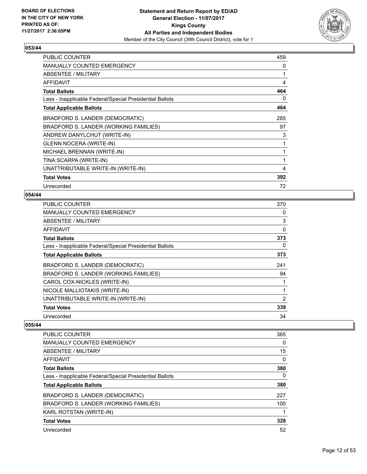

| <b>PUBLIC COUNTER</b>                                    | 459 |
|----------------------------------------------------------|-----|
| <b>MANUALLY COUNTED EMERGENCY</b>                        | 0   |
| ABSENTEE / MILITARY                                      | 1   |
| <b>AFFIDAVIT</b>                                         | 4   |
| <b>Total Ballots</b>                                     | 464 |
| Less - Inapplicable Federal/Special Presidential Ballots | 0   |
| <b>Total Applicable Ballots</b>                          | 464 |
| BRADFORD S. LANDER (DEMOCRATIC)                          | 285 |
| BRADFORD S. LANDER (WORKING FAMILIES)                    | 97  |
| ANDREW DANYLCHUT (WRITE-IN)                              | 3   |
| <b>GLENN NOCERA (WRITE-IN)</b>                           | 1   |
| MICHAEL BRENNAN (WRITE-IN)                               | 1   |
| TINA SCARPA (WRITE-IN)                                   | 1   |
| UNATTRIBUTABLE WRITE-IN (WRITE-IN)                       | 4   |
| <b>Total Votes</b>                                       | 392 |
| Unrecorded                                               | 72  |

# **054/44**

| <b>PUBLIC COUNTER</b>                                    | 370 |
|----------------------------------------------------------|-----|
| <b>MANUALLY COUNTED EMERGENCY</b>                        | 0   |
| ABSENTEE / MILITARY                                      | 3   |
| AFFIDAVIT                                                | 0   |
| <b>Total Ballots</b>                                     | 373 |
| Less - Inapplicable Federal/Special Presidential Ballots | 0   |
| <b>Total Applicable Ballots</b>                          | 373 |
| BRADFORD S. LANDER (DEMOCRATIC)                          | 241 |
| BRADFORD S. LANDER (WORKING FAMILIES)                    | 94  |
| CAROL COX-NICKLES (WRITE-IN)                             | 1   |
| NICOLE MALLIOTAKIS (WRITE-IN)                            | 1   |
| UNATTRIBUTABLE WRITE-IN (WRITE-IN)                       | 2   |
| <b>Total Votes</b>                                       | 339 |
| Unrecorded                                               | 34  |

| <b>PUBLIC COUNTER</b>                                    | 365 |
|----------------------------------------------------------|-----|
| <b>MANUALLY COUNTED EMERGENCY</b>                        | 0   |
| <b>ABSENTEE / MILITARY</b>                               | 15  |
| <b>AFFIDAVIT</b>                                         | 0   |
| <b>Total Ballots</b>                                     | 380 |
| Less - Inapplicable Federal/Special Presidential Ballots | 0   |
| <b>Total Applicable Ballots</b>                          | 380 |
| BRADFORD S. LANDER (DEMOCRATIC)                          | 227 |
| BRADFORD S. LANDER (WORKING FAMILIES)                    | 100 |
| <b>KARL ROTSTAN (WRITE-IN)</b>                           |     |
| <b>Total Votes</b>                                       | 328 |
| Unrecorded                                               | 52  |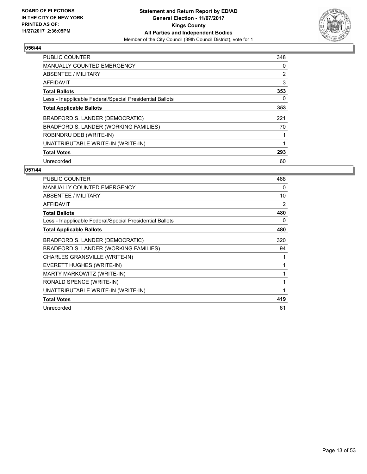

| <b>PUBLIC COUNTER</b>                                    | 348 |
|----------------------------------------------------------|-----|
| MANUALLY COUNTED EMERGENCY                               | 0   |
| ABSENTEE / MILITARY                                      | 2   |
| AFFIDAVIT                                                | 3   |
| <b>Total Ballots</b>                                     | 353 |
| Less - Inapplicable Federal/Special Presidential Ballots | 0   |
| <b>Total Applicable Ballots</b>                          | 353 |
| BRADFORD S. LANDER (DEMOCRATIC)                          | 221 |
| BRADFORD S. LANDER (WORKING FAMILIES)                    | 70  |
| ROBINDRU DEB (WRITE-IN)                                  |     |
| UNATTRIBUTABLE WRITE-IN (WRITE-IN)                       | 1   |
| <b>Total Votes</b>                                       | 293 |
| Unrecorded                                               | 60  |

| <b>PUBLIC COUNTER</b>                                    | 468 |
|----------------------------------------------------------|-----|
| MANUALLY COUNTED EMERGENCY                               | 0   |
| <b>ABSENTEE / MILITARY</b>                               | 10  |
| <b>AFFIDAVIT</b>                                         | 2   |
| <b>Total Ballots</b>                                     | 480 |
| Less - Inapplicable Federal/Special Presidential Ballots | 0   |
| <b>Total Applicable Ballots</b>                          | 480 |
| BRADFORD S. LANDER (DEMOCRATIC)                          | 320 |
| BRADFORD S. LANDER (WORKING FAMILIES)                    | 94  |
| CHARLES GRANSVILLE (WRITE-IN)                            |     |
| EVERETT HUGHES (WRITE-IN)                                |     |
| MARTY MARKOWITZ (WRITE-IN)                               |     |
| RONALD SPENCE (WRITE-IN)                                 | 1   |
| UNATTRIBUTABLE WRITE-IN (WRITE-IN)                       | 1   |
| <b>Total Votes</b>                                       | 419 |
| Unrecorded                                               | 61  |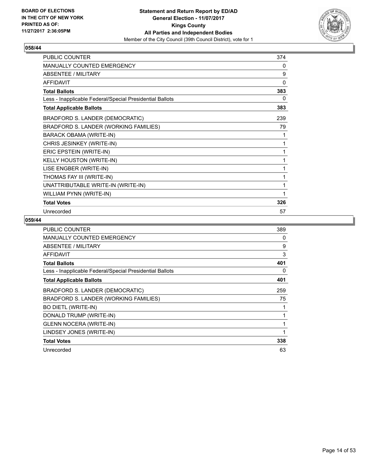

| <b>PUBLIC COUNTER</b>                                    | 374 |
|----------------------------------------------------------|-----|
| <b>MANUALLY COUNTED EMERGENCY</b>                        | 0   |
| ABSENTEE / MILITARY                                      | 9   |
| <b>AFFIDAVIT</b>                                         | 0   |
| <b>Total Ballots</b>                                     | 383 |
| Less - Inapplicable Federal/Special Presidential Ballots | 0   |
| <b>Total Applicable Ballots</b>                          | 383 |
| BRADFORD S. LANDER (DEMOCRATIC)                          | 239 |
| BRADFORD S. LANDER (WORKING FAMILIES)                    | 79  |
| BARACK OBAMA (WRITE-IN)                                  | 1   |
| CHRIS JESINKEY (WRITE-IN)                                | 1   |
| ERIC EPSTEIN (WRITE-IN)                                  | 1   |
| <b>KELLY HOUSTON (WRITE-IN)</b>                          | 1   |
| LISE ENGBER (WRITE-IN)                                   | 1   |
| THOMAS FAY III (WRITE-IN)                                | 1   |
| UNATTRIBUTABLE WRITE-IN (WRITE-IN)                       | 1   |
| WILLIAM PYNN (WRITE-IN)                                  | 1   |
| <b>Total Votes</b>                                       | 326 |
| Unrecorded                                               | 57  |

| <b>PUBLIC COUNTER</b>                                    | 389 |
|----------------------------------------------------------|-----|
| <b>MANUALLY COUNTED EMERGENCY</b>                        | 0   |
| <b>ABSENTEE / MILITARY</b>                               | 9   |
| AFFIDAVIT                                                | 3   |
| <b>Total Ballots</b>                                     | 401 |
| Less - Inapplicable Federal/Special Presidential Ballots | 0   |
| <b>Total Applicable Ballots</b>                          | 401 |
| BRADFORD S. LANDER (DEMOCRATIC)                          | 259 |
| BRADFORD S. LANDER (WORKING FAMILIES)                    | 75  |
| <b>BO DIETL (WRITE-IN)</b>                               |     |
| DONALD TRUMP (WRITE-IN)                                  |     |
| <b>GLENN NOCERA (WRITE-IN)</b>                           |     |
| LINDSEY JONES (WRITE-IN)                                 | 1   |
| <b>Total Votes</b>                                       | 338 |
| Unrecorded                                               | 63  |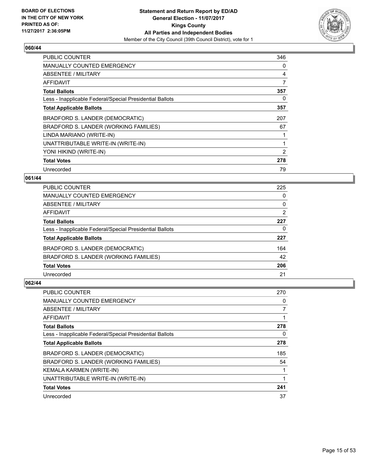

| <b>PUBLIC COUNTER</b>                                    | 346 |
|----------------------------------------------------------|-----|
| <b>MANUALLY COUNTED EMERGENCY</b>                        | 0   |
| ABSENTEE / MILITARY                                      | 4   |
| AFFIDAVIT                                                | 7   |
| <b>Total Ballots</b>                                     | 357 |
| Less - Inapplicable Federal/Special Presidential Ballots | 0   |
| <b>Total Applicable Ballots</b>                          | 357 |
| BRADFORD S. LANDER (DEMOCRATIC)                          | 207 |
| BRADFORD S. LANDER (WORKING FAMILIES)                    | 67  |
| LINDA MARIANO (WRITE-IN)                                 |     |
| UNATTRIBUTABLE WRITE-IN (WRITE-IN)                       | 1   |
| YONI HIKIND (WRITE-IN)                                   | 2   |
| <b>Total Votes</b>                                       | 278 |
| Unrecorded                                               | 79  |

# **061/44**

| <b>PUBLIC COUNTER</b>                                    | 225 |
|----------------------------------------------------------|-----|
| MANUALLY COUNTED EMERGENCY                               | 0   |
| ABSENTEE / MILITARY                                      | 0   |
| AFFIDAVIT                                                | 2   |
| <b>Total Ballots</b>                                     | 227 |
| Less - Inapplicable Federal/Special Presidential Ballots | 0   |
| <b>Total Applicable Ballots</b>                          | 227 |
| BRADFORD S. LANDER (DEMOCRATIC)                          | 164 |
| BRADFORD S. LANDER (WORKING FAMILIES)                    | 42  |
| <b>Total Votes</b>                                       | 206 |
| Unrecorded                                               | 21  |

| <b>PUBLIC COUNTER</b>                                    | 270 |
|----------------------------------------------------------|-----|
| MANUALLY COUNTED EMERGENCY                               | 0   |
| ABSENTEE / MILITARY                                      |     |
| AFFIDAVIT                                                |     |
| <b>Total Ballots</b>                                     | 278 |
| Less - Inapplicable Federal/Special Presidential Ballots | 0   |
| <b>Total Applicable Ballots</b>                          | 278 |
| BRADFORD S. LANDER (DEMOCRATIC)                          | 185 |
| BRADFORD S. LANDER (WORKING FAMILIES)                    | 54  |
| KEMALA KARMEN (WRITE-IN)                                 |     |
| UNATTRIBUTABLE WRITE-IN (WRITE-IN)                       | 1   |
| <b>Total Votes</b>                                       | 241 |
| Unrecorded                                               | 37  |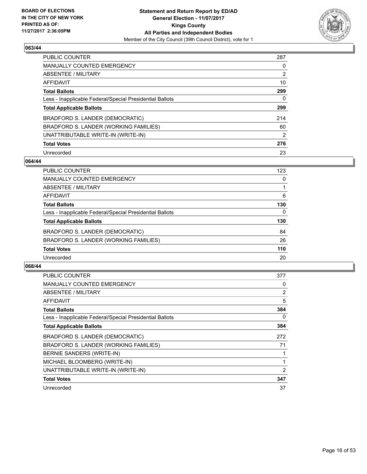

| PUBLIC COUNTER                                           | 287            |
|----------------------------------------------------------|----------------|
| <b>MANUALLY COUNTED EMERGENCY</b>                        | 0              |
| ABSENTEE / MILITARY                                      | $\overline{2}$ |
| AFFIDAVIT                                                | 10             |
| <b>Total Ballots</b>                                     | 299            |
| Less - Inapplicable Federal/Special Presidential Ballots | 0              |
| <b>Total Applicable Ballots</b>                          | 299            |
| BRADFORD S. LANDER (DEMOCRATIC)                          | 214            |
| BRADFORD S. LANDER (WORKING FAMILIES)                    | 60             |
| UNATTRIBUTABLE WRITE-IN (WRITE-IN)                       | $\overline{2}$ |
| <b>Total Votes</b>                                       | 276            |
| Unrecorded                                               | 23             |

#### **064/44**

| <b>PUBLIC COUNTER</b>                                    | 123 |
|----------------------------------------------------------|-----|
| MANUALLY COUNTED EMERGENCY                               | 0   |
| ABSENTEE / MILITARY                                      |     |
| AFFIDAVIT                                                | 6   |
| <b>Total Ballots</b>                                     | 130 |
| Less - Inapplicable Federal/Special Presidential Ballots | 0   |
| <b>Total Applicable Ballots</b>                          | 130 |
| BRADFORD S. LANDER (DEMOCRATIC)                          | 84  |
| BRADFORD S. LANDER (WORKING FAMILIES)                    | 26  |
| <b>Total Votes</b>                                       | 110 |
| Unrecorded                                               | 20  |

| <b>PUBLIC COUNTER</b>                                    | 377 |
|----------------------------------------------------------|-----|
| <b>MANUALLY COUNTED EMERGENCY</b>                        | 0   |
| ABSENTEE / MILITARY                                      | 2   |
| AFFIDAVIT                                                | 5   |
| <b>Total Ballots</b>                                     | 384 |
| Less - Inapplicable Federal/Special Presidential Ballots | 0   |
| <b>Total Applicable Ballots</b>                          | 384 |
| BRADFORD S. LANDER (DEMOCRATIC)                          | 272 |
| BRADFORD S. LANDER (WORKING FAMILIES)                    | 71  |
| BERNIE SANDERS (WRITE-IN)                                |     |
| MICHAEL BLOOMBERG (WRITE-IN)                             |     |
| UNATTRIBUTABLE WRITE-IN (WRITE-IN)                       | 2   |
| <b>Total Votes</b>                                       | 347 |
| Unrecorded                                               | 37  |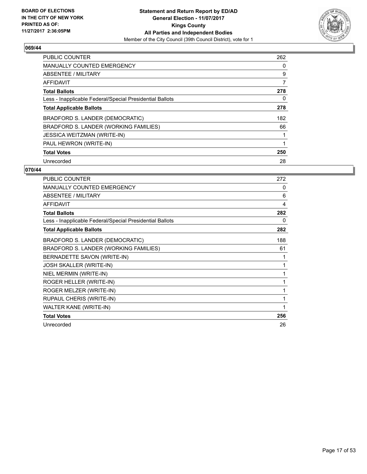

| <b>PUBLIC COUNTER</b>                                    | 262 |
|----------------------------------------------------------|-----|
| <b>MANUALLY COUNTED EMERGENCY</b>                        | 0   |
| ABSENTEE / MILITARY                                      | 9   |
| AFFIDAVIT                                                | 7   |
| <b>Total Ballots</b>                                     | 278 |
| Less - Inapplicable Federal/Special Presidential Ballots | 0   |
| <b>Total Applicable Ballots</b>                          | 278 |
| BRADFORD S. LANDER (DEMOCRATIC)                          | 182 |
| BRADFORD S. LANDER (WORKING FAMILIES)                    | 66  |
| <b>JESSICA WEITZMAN (WRITE-IN)</b>                       |     |
| PAUL HEWRON (WRITE-IN)                                   | 1   |
| <b>Total Votes</b>                                       | 250 |
| Unrecorded                                               | 28  |

| <b>PUBLIC COUNTER</b>                                    | 272 |
|----------------------------------------------------------|-----|
| <b>MANUALLY COUNTED EMERGENCY</b>                        | 0   |
| <b>ABSENTEE / MILITARY</b>                               | 6   |
| <b>AFFIDAVIT</b>                                         | 4   |
| <b>Total Ballots</b>                                     | 282 |
| Less - Inapplicable Federal/Special Presidential Ballots | 0   |
| <b>Total Applicable Ballots</b>                          | 282 |
| BRADFORD S. LANDER (DEMOCRATIC)                          | 188 |
| BRADFORD S. LANDER (WORKING FAMILIES)                    | 61  |
| BERNADETTE SAVON (WRITE-IN)                              | 1   |
| JOSH SKALLER (WRITE-IN)                                  | 1   |
| NIEL MERMIN (WRITE-IN)                                   | 1   |
| ROGER HELLER (WRITE-IN)                                  | 1   |
| ROGER MELZER (WRITE-IN)                                  | 1   |
| RUPAUL CHERIS (WRITE-IN)                                 | 1   |
| WALTER KANE (WRITE-IN)                                   | 1   |
| <b>Total Votes</b>                                       | 256 |
| Unrecorded                                               | 26  |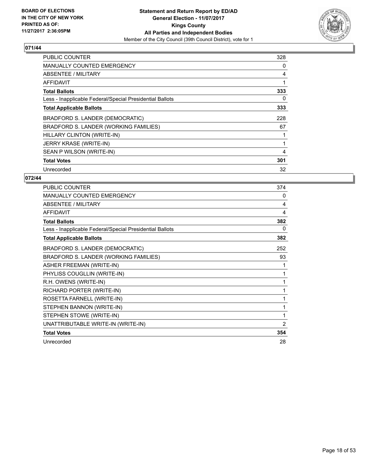

| <b>PUBLIC COUNTER</b>                                    | 328 |
|----------------------------------------------------------|-----|
| <b>MANUALLY COUNTED EMERGENCY</b>                        | 0   |
| ABSENTEE / MILITARY                                      | 4   |
| AFFIDAVIT                                                | 1   |
| <b>Total Ballots</b>                                     | 333 |
| Less - Inapplicable Federal/Special Presidential Ballots | 0   |
| <b>Total Applicable Ballots</b>                          | 333 |
| BRADFORD S. LANDER (DEMOCRATIC)                          | 228 |
| BRADFORD S. LANDER (WORKING FAMILIES)                    | 67  |
| HILLARY CLINTON (WRITE-IN)                               |     |
| <b>JERRY KRASE (WRITE-IN)</b>                            | 1   |
| SEAN P WILSON (WRITE-IN)                                 | 4   |
| <b>Total Votes</b>                                       | 301 |
| Unrecorded                                               | 32  |

| <b>PUBLIC COUNTER</b>                                    | 374 |
|----------------------------------------------------------|-----|
| <b>MANUALLY COUNTED EMERGENCY</b>                        | 0   |
| <b>ABSENTEE / MILITARY</b>                               | 4   |
| <b>AFFIDAVIT</b>                                         | 4   |
| <b>Total Ballots</b>                                     | 382 |
| Less - Inapplicable Federal/Special Presidential Ballots | 0   |
| <b>Total Applicable Ballots</b>                          | 382 |
| BRADFORD S. LANDER (DEMOCRATIC)                          | 252 |
| BRADFORD S. LANDER (WORKING FAMILIES)                    | 93  |
| <b>ASHER FREEMAN (WRITE-IN)</b>                          | 1   |
| PHYLISS COUGLLIN (WRITE-IN)                              | 1   |
| R.H. OWENS (WRITE-IN)                                    | 1   |
| RICHARD PORTER (WRITE-IN)                                | 1   |
| ROSETTA FARNELL (WRITE-IN)                               | 1   |
| STEPHEN BANNON (WRITE-IN)                                | 1   |
| STEPHEN STOWE (WRITE-IN)                                 | 1   |
| UNATTRIBUTABLE WRITE-IN (WRITE-IN)                       | 2   |
| <b>Total Votes</b>                                       | 354 |
| Unrecorded                                               | 28  |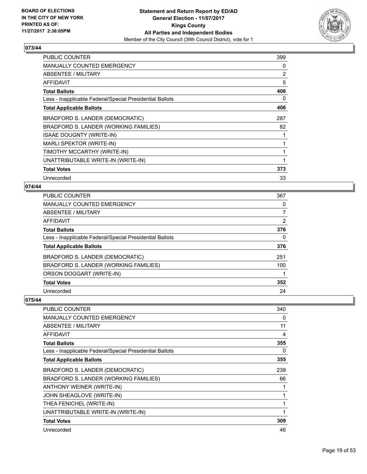

| <b>PUBLIC COUNTER</b>                                    | 399          |
|----------------------------------------------------------|--------------|
| <b>MANUALLY COUNTED EMERGENCY</b>                        | 0            |
| ABSENTEE / MILITARY                                      | 2            |
| AFFIDAVIT                                                | 5            |
| <b>Total Ballots</b>                                     | 406          |
| Less - Inapplicable Federal/Special Presidential Ballots | 0            |
| <b>Total Applicable Ballots</b>                          | 406          |
| BRADFORD S. LANDER (DEMOCRATIC)                          | 287          |
| BRADFORD S. LANDER (WORKING FAMILIES)                    | 82           |
| <b>ISAAE DOUGNTY (WRITE-IN)</b>                          | 1            |
| MARLI SPEKTOR (WRITE-IN)                                 | $\mathbf{1}$ |
| TIMOTHY MCCARTHY (WRITE-IN)                              | 1            |
| UNATTRIBUTABLE WRITE-IN (WRITE-IN)                       | 1            |
| <b>Total Votes</b>                                       | 373          |
| Unrecorded                                               | 33           |

## **074/44**

| <b>PUBLIC COUNTER</b>                                    | 367 |
|----------------------------------------------------------|-----|
| <b>MANUALLY COUNTED EMERGENCY</b>                        | 0   |
| <b>ABSENTEE / MILITARY</b>                               | 7   |
| <b>AFFIDAVIT</b>                                         | 2   |
| <b>Total Ballots</b>                                     | 376 |
| Less - Inapplicable Federal/Special Presidential Ballots | 0   |
| <b>Total Applicable Ballots</b>                          | 376 |
| BRADFORD S. LANDER (DEMOCRATIC)                          | 251 |
| BRADFORD S. LANDER (WORKING FAMILIES)                    | 100 |
| ORSON DOGGART (WRITE-IN)                                 |     |
| <b>Total Votes</b>                                       | 352 |
| Unrecorded                                               | 24  |

| <b>PUBLIC COUNTER</b>                                    | 340 |
|----------------------------------------------------------|-----|
| <b>MANUALLY COUNTED EMERGENCY</b>                        | 0   |
| ABSENTEE / MILITARY                                      | 11  |
| AFFIDAVIT                                                | 4   |
| <b>Total Ballots</b>                                     | 355 |
| Less - Inapplicable Federal/Special Presidential Ballots | 0   |
| <b>Total Applicable Ballots</b>                          | 355 |
| BRADFORD S. LANDER (DEMOCRATIC)                          | 239 |
| BRADFORD S. LANDER (WORKING FAMILIES)                    | 66  |
| ANTHONY WEINER (WRITE-IN)                                |     |
| JOHN SHEAGLOVE (WRITE-IN)                                |     |
| THEA FENICHEL (WRITE-IN)                                 |     |
| UNATTRIBUTABLE WRITE-IN (WRITE-IN)                       | 1   |
| <b>Total Votes</b>                                       | 309 |
| Unrecorded                                               | 46  |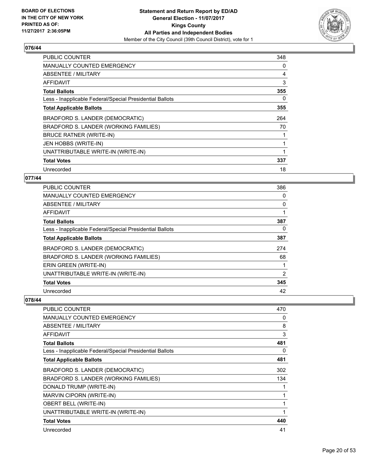

| <b>PUBLIC COUNTER</b>                                    | 348 |
|----------------------------------------------------------|-----|
| <b>MANUALLY COUNTED EMERGENCY</b>                        | 0   |
| <b>ABSENTEE / MILITARY</b>                               | 4   |
| AFFIDAVIT                                                | 3   |
| <b>Total Ballots</b>                                     | 355 |
| Less - Inapplicable Federal/Special Presidential Ballots | 0   |
| <b>Total Applicable Ballots</b>                          | 355 |
| BRADFORD S. LANDER (DEMOCRATIC)                          | 264 |
| BRADFORD S. LANDER (WORKING FAMILIES)                    | 70  |
| BRUCE RATNER (WRITE-IN)                                  |     |
| JEN HOBBS (WRITE-IN)                                     | 1   |
| UNATTRIBUTABLE WRITE-IN (WRITE-IN)                       |     |
| <b>Total Votes</b>                                       | 337 |
| Unrecorded                                               | 18  |

# **077/44**

| <b>PUBLIC COUNTER</b>                                    | 386 |
|----------------------------------------------------------|-----|
| <b>MANUALLY COUNTED EMERGENCY</b>                        | 0   |
| ABSENTEE / MILITARY                                      | 0   |
| AFFIDAVIT                                                | 1   |
| <b>Total Ballots</b>                                     | 387 |
| Less - Inapplicable Federal/Special Presidential Ballots | 0   |
| <b>Total Applicable Ballots</b>                          | 387 |
| BRADFORD S. LANDER (DEMOCRATIC)                          | 274 |
| BRADFORD S. LANDER (WORKING FAMILIES)                    | 68  |
| ERIN GREEN (WRITE-IN)                                    |     |
| UNATTRIBUTABLE WRITE-IN (WRITE-IN)                       | 2   |
| <b>Total Votes</b>                                       | 345 |
| Unrecorded                                               | 42  |

| <b>PUBLIC COUNTER</b>                                    | 470 |
|----------------------------------------------------------|-----|
| <b>MANUALLY COUNTED EMERGENCY</b>                        | 0   |
| <b>ABSENTEE / MILITARY</b>                               | 8   |
| AFFIDAVIT                                                | 3   |
| <b>Total Ballots</b>                                     | 481 |
| Less - Inapplicable Federal/Special Presidential Ballots | 0   |
| <b>Total Applicable Ballots</b>                          | 481 |
| BRADFORD S. LANDER (DEMOCRATIC)                          | 302 |
| BRADFORD S. LANDER (WORKING FAMILIES)                    | 134 |
| DONALD TRUMP (WRITE-IN)                                  | 1   |
| MARVIN CIPORN (WRITE-IN)                                 | 1   |
| <b>OBERT BELL (WRITE-IN)</b>                             | 1   |
| UNATTRIBUTABLE WRITE-IN (WRITE-IN)                       | 1   |
| <b>Total Votes</b>                                       | 440 |
| Unrecorded                                               | 41  |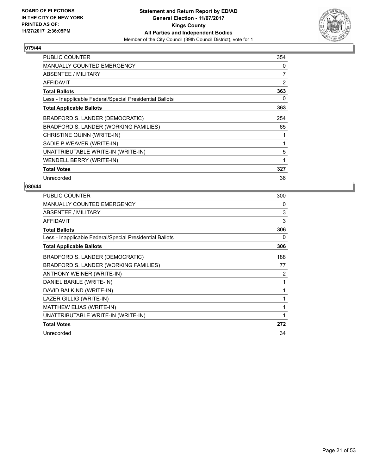

| <b>PUBLIC COUNTER</b>                                    | 354 |
|----------------------------------------------------------|-----|
| <b>MANUALLY COUNTED EMERGENCY</b>                        | 0   |
| ABSENTEE / MILITARY                                      | 7   |
| <b>AFFIDAVIT</b>                                         | 2   |
| <b>Total Ballots</b>                                     | 363 |
| Less - Inapplicable Federal/Special Presidential Ballots | 0   |
| <b>Total Applicable Ballots</b>                          | 363 |
| BRADFORD S. LANDER (DEMOCRATIC)                          | 254 |
| BRADFORD S. LANDER (WORKING FAMILIES)                    | 65  |
| CHRISTINE QUINN (WRITE-IN)                               | 1   |
| SADIE P.WEAVER (WRITE-IN)                                | 1   |
| UNATTRIBUTABLE WRITE-IN (WRITE-IN)                       | 5   |
| WENDELL BERRY (WRITE-IN)                                 | 1   |
| <b>Total Votes</b>                                       | 327 |
| Unrecorded                                               | 36  |

| PUBLIC COUNTER                                           | 300 |
|----------------------------------------------------------|-----|
| <b>MANUALLY COUNTED EMERGENCY</b>                        | 0   |
| ABSENTEE / MILITARY                                      | 3   |
| <b>AFFIDAVIT</b>                                         | 3   |
| <b>Total Ballots</b>                                     | 306 |
| Less - Inapplicable Federal/Special Presidential Ballots | 0   |
| <b>Total Applicable Ballots</b>                          | 306 |
| BRADFORD S. LANDER (DEMOCRATIC)                          | 188 |
| BRADFORD S. LANDER (WORKING FAMILIES)                    | 77  |
| ANTHONY WEINER (WRITE-IN)                                | 2   |
| DANIEL BARILE (WRITE-IN)                                 | 1   |
| DAVID BALKIND (WRITE-IN)                                 | 1   |
| LAZER GILLIG (WRITE-IN)                                  |     |
| MATTHEW ELIAS (WRITE-IN)                                 | 1   |
| UNATTRIBUTABLE WRITE-IN (WRITE-IN)                       |     |
| <b>Total Votes</b>                                       | 272 |
| Unrecorded                                               | 34  |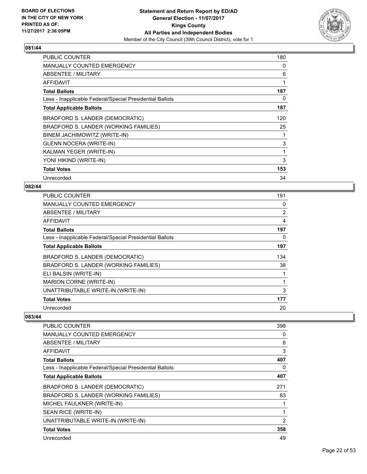

| <b>PUBLIC COUNTER</b>                                    | 180 |
|----------------------------------------------------------|-----|
| <b>MANUALLY COUNTED EMERGENCY</b>                        | 0   |
| ABSENTEE / MILITARY                                      | 6   |
| AFFIDAVIT                                                | 1   |
| <b>Total Ballots</b>                                     | 187 |
| Less - Inapplicable Federal/Special Presidential Ballots | 0   |
| <b>Total Applicable Ballots</b>                          | 187 |
| BRADFORD S. LANDER (DEMOCRATIC)                          | 120 |
| BRADFORD S. LANDER (WORKING FAMILIES)                    | 25  |
| BINEM JACHIMOWITZ (WRITE-IN)                             |     |
| <b>GLENN NOCERA (WRITE-IN)</b>                           | 3   |
| KALMAN YEGER (WRITE-IN)                                  | 1   |
| YONI HIKIND (WRITE-IN)                                   | 3   |
| <b>Total Votes</b>                                       | 153 |
| Unrecorded                                               | 34  |

# **082/44**

| <b>PUBLIC COUNTER</b>                                    | 191            |
|----------------------------------------------------------|----------------|
| <b>MANUALLY COUNTED EMERGENCY</b>                        | 0              |
| ABSENTEE / MILITARY                                      | $\overline{2}$ |
| AFFIDAVIT                                                | 4              |
| <b>Total Ballots</b>                                     | 197            |
| Less - Inapplicable Federal/Special Presidential Ballots | 0              |
| <b>Total Applicable Ballots</b>                          | 197            |
| BRADFORD S. LANDER (DEMOCRATIC)                          | 134            |
| BRADFORD S. LANDER (WORKING FAMILIES)                    | 38             |
| ELI BALSIN (WRITE-IN)                                    |                |
| <b>MARION CORNE (WRITE-IN)</b>                           |                |
| UNATTRIBUTABLE WRITE-IN (WRITE-IN)                       | 3              |
| <b>Total Votes</b>                                       | 177            |
| Unrecorded                                               | 20             |

| PUBLIC COUNTER                                           | 398            |
|----------------------------------------------------------|----------------|
| <b>MANUALLY COUNTED EMERGENCY</b>                        | 0              |
| ABSENTEE / MILITARY                                      | 6              |
| AFFIDAVIT                                                | 3              |
| <b>Total Ballots</b>                                     | 407            |
| Less - Inapplicable Federal/Special Presidential Ballots | 0              |
| <b>Total Applicable Ballots</b>                          | 407            |
| BRADFORD S. LANDER (DEMOCRATIC)                          | 271            |
| BRADFORD S. LANDER (WORKING FAMILIES)                    | 83             |
| MICHEL FAULKNER (WRITE-IN)                               | 1              |
| SEAN RICE (WRITE-IN)                                     | 1              |
| UNATTRIBUTABLE WRITE-IN (WRITE-IN)                       | $\overline{2}$ |
| <b>Total Votes</b>                                       | 358            |
| Unrecorded                                               | 49             |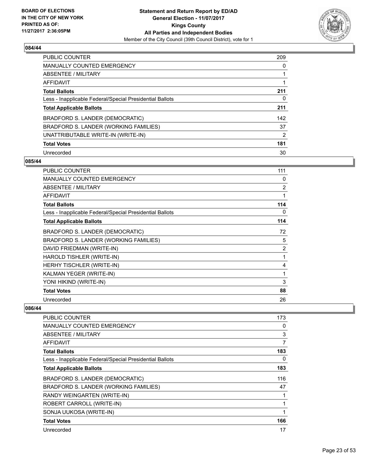

| PUBLIC COUNTER                                           | 209 |
|----------------------------------------------------------|-----|
| <b>MANUALLY COUNTED EMERGENCY</b>                        | 0   |
| ABSENTEE / MILITARY                                      |     |
| AFFIDAVIT                                                |     |
| <b>Total Ballots</b>                                     | 211 |
| Less - Inapplicable Federal/Special Presidential Ballots | 0   |
| <b>Total Applicable Ballots</b>                          | 211 |
| BRADFORD S. LANDER (DEMOCRATIC)                          | 142 |
| BRADFORD S. LANDER (WORKING FAMILIES)                    | 37  |
| UNATTRIBUTABLE WRITE-IN (WRITE-IN)                       | 2   |
| <b>Total Votes</b>                                       | 181 |
| Unrecorded                                               | 30  |

#### **085/44**

| <b>PUBLIC COUNTER</b>                                    | 111 |
|----------------------------------------------------------|-----|
| <b>MANUALLY COUNTED EMERGENCY</b>                        | 0   |
| ABSENTEE / MILITARY                                      | 2   |
| <b>AFFIDAVIT</b>                                         | 1   |
| <b>Total Ballots</b>                                     | 114 |
| Less - Inapplicable Federal/Special Presidential Ballots | 0   |
| <b>Total Applicable Ballots</b>                          | 114 |
| BRADFORD S. LANDER (DEMOCRATIC)                          | 72  |
| BRADFORD S. LANDER (WORKING FAMILIES)                    | 5   |
| DAVID FRIEDMAN (WRITE-IN)                                | 2   |
| HAROLD TISHLER (WRITE-IN)                                | 1   |
| HERHY TISCHLER (WRITE-IN)                                | 4   |
| KALMAN YEGER (WRITE-IN)                                  | 1   |
| YONI HIKIND (WRITE-IN)                                   | 3   |
| <b>Total Votes</b>                                       | 88  |
| Unrecorded                                               | 26  |

| PUBLIC COUNTER                                           | 173 |
|----------------------------------------------------------|-----|
| <b>MANUALLY COUNTED EMERGENCY</b>                        | 0   |
| <b>ABSENTEE / MILITARY</b>                               | 3   |
| AFFIDAVIT                                                | 7   |
| <b>Total Ballots</b>                                     | 183 |
| Less - Inapplicable Federal/Special Presidential Ballots | 0   |
| <b>Total Applicable Ballots</b>                          | 183 |
| BRADFORD S. LANDER (DEMOCRATIC)                          | 116 |
| BRADFORD S. LANDER (WORKING FAMILIES)                    | 47  |
| RANDY WEINGARTEN (WRITE-IN)                              |     |
| ROBERT CARROLL (WRITE-IN)                                |     |
| SONJA UUKOSA (WRITE-IN)                                  |     |
| <b>Total Votes</b>                                       | 166 |
| Unrecorded                                               | 17  |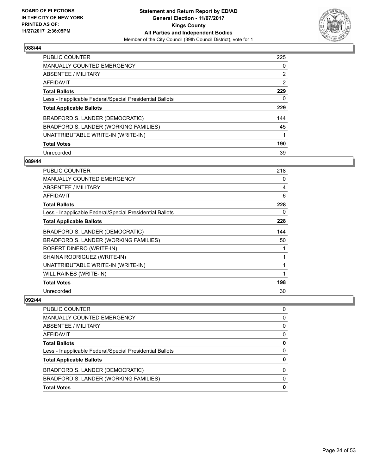

| <b>PUBLIC COUNTER</b>                                    | 225 |
|----------------------------------------------------------|-----|
| <b>MANUALLY COUNTED EMERGENCY</b>                        | 0   |
| ABSENTEE / MILITARY                                      | 2   |
| AFFIDAVIT                                                | 2   |
| <b>Total Ballots</b>                                     | 229 |
| Less - Inapplicable Federal/Special Presidential Ballots | 0   |
| <b>Total Applicable Ballots</b>                          | 229 |
| BRADFORD S. LANDER (DEMOCRATIC)                          | 144 |
| BRADFORD S. LANDER (WORKING FAMILIES)                    | 45  |
| UNATTRIBUTABLE WRITE-IN (WRITE-IN)                       |     |
| <b>Total Votes</b>                                       | 190 |
| Unrecorded                                               | 39  |

#### **089/44**

| PUBLIC COUNTER                                           | 218 |
|----------------------------------------------------------|-----|
| <b>MANUALLY COUNTED EMERGENCY</b>                        | 0   |
| ABSENTEE / MILITARY                                      | 4   |
| AFFIDAVIT                                                | 6   |
| <b>Total Ballots</b>                                     | 228 |
| Less - Inapplicable Federal/Special Presidential Ballots | 0   |
| <b>Total Applicable Ballots</b>                          | 228 |
| BRADFORD S. LANDER (DEMOCRATIC)                          | 144 |
| BRADFORD S. LANDER (WORKING FAMILIES)                    | 50  |
| ROBERT DINERO (WRITE-IN)                                 |     |
| SHAINA RODRIGUEZ (WRITE-IN)                              |     |
| UNATTRIBUTABLE WRITE-IN (WRITE-IN)                       |     |
| WILL RAINES (WRITE-IN)                                   |     |
| <b>Total Votes</b>                                       | 198 |
| Unrecorded                                               | 30  |

| <b>Total Votes</b>                                       | 0            |
|----------------------------------------------------------|--------------|
| BRADFORD S. LANDER (WORKING FAMILIES)                    | $\mathbf{0}$ |
| BRADFORD S. LANDER (DEMOCRATIC)                          | 0            |
| <b>Total Applicable Ballots</b>                          | 0            |
| Less - Inapplicable Federal/Special Presidential Ballots | $\Omega$     |
| <b>Total Ballots</b>                                     | 0            |
| <b>AFFIDAVIT</b>                                         | 0            |
| <b>ABSENTEE / MILITARY</b>                               | 0            |
| <b>MANUALLY COUNTED EMERGENCY</b>                        | 0            |
| PUBLIC COUNTER                                           | 0            |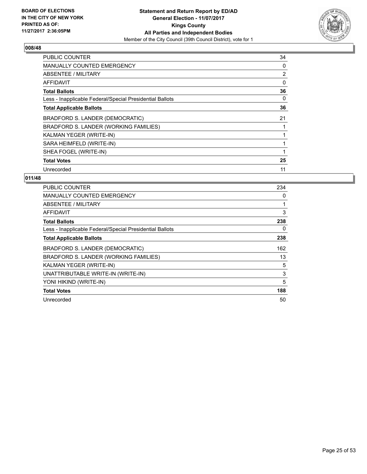

| <b>PUBLIC COUNTER</b>                                    | 34 |
|----------------------------------------------------------|----|
| <b>MANUALLY COUNTED EMERGENCY</b>                        | 0  |
| ABSENTEE / MILITARY                                      | 2  |
| AFFIDAVIT                                                | 0  |
| <b>Total Ballots</b>                                     | 36 |
| Less - Inapplicable Federal/Special Presidential Ballots | 0  |
| <b>Total Applicable Ballots</b>                          | 36 |
| BRADFORD S. LANDER (DEMOCRATIC)                          | 21 |
| BRADFORD S. LANDER (WORKING FAMILIES)                    |    |
| KALMAN YEGER (WRITE-IN)                                  |    |
| SARA HEIMFELD (WRITE-IN)                                 | 1  |
| SHEA FOGEL (WRITE-IN)                                    |    |
| <b>Total Votes</b>                                       | 25 |
| Unrecorded                                               | 11 |

| <b>PUBLIC COUNTER</b>                                    | 234 |
|----------------------------------------------------------|-----|
| <b>MANUALLY COUNTED EMERGENCY</b>                        | 0   |
| ABSENTEE / MILITARY                                      |     |
| AFFIDAVIT                                                | 3   |
| <b>Total Ballots</b>                                     | 238 |
| Less - Inapplicable Federal/Special Presidential Ballots | 0   |
| <b>Total Applicable Ballots</b>                          | 238 |
| BRADFORD S. LANDER (DEMOCRATIC)                          | 162 |
| BRADFORD S. LANDER (WORKING FAMILIES)                    | 13  |
| KALMAN YEGER (WRITE-IN)                                  | 5   |
| UNATTRIBUTABLE WRITE-IN (WRITE-IN)                       | 3   |
| YONI HIKIND (WRITE-IN)                                   | 5   |
| <b>Total Votes</b>                                       | 188 |
| Unrecorded                                               | 50  |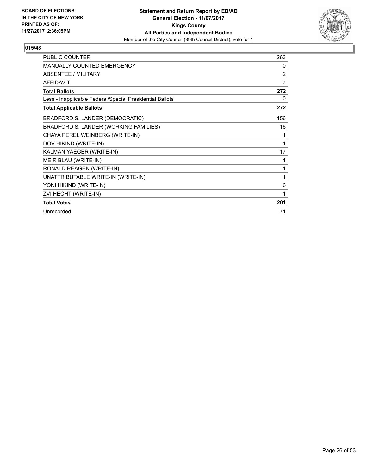

| <b>PUBLIC COUNTER</b>                                    | 263 |
|----------------------------------------------------------|-----|
| <b>MANUALLY COUNTED EMERGENCY</b>                        | 0   |
| <b>ABSENTEE / MILITARY</b>                               | 2   |
| <b>AFFIDAVIT</b>                                         | 7   |
| <b>Total Ballots</b>                                     | 272 |
| Less - Inapplicable Federal/Special Presidential Ballots | 0   |
| <b>Total Applicable Ballots</b>                          | 272 |
| BRADFORD S. LANDER (DEMOCRATIC)                          | 156 |
| BRADFORD S. LANDER (WORKING FAMILIES)                    | 16  |
| CHAYA PEREL WEINBERG (WRITE-IN)                          | 1   |
| DOV HIKIND (WRITE-IN)                                    | 1   |
| KALMAN YAEGER (WRITE-IN)                                 | 17  |
| MEIR BLAU (WRITE-IN)                                     | 1   |
| RONALD REAGEN (WRITE-IN)                                 | 1   |
| UNATTRIBUTABLE WRITE-IN (WRITE-IN)                       | 1   |
| YONI HIKIND (WRITE-IN)                                   | 6   |
| ZVI HECHT (WRITE-IN)                                     | 1   |
| <b>Total Votes</b>                                       | 201 |
| Unrecorded                                               | 71  |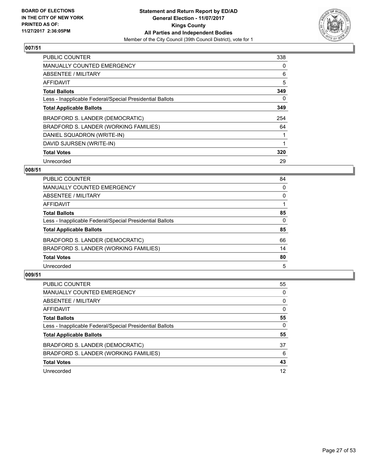

| <b>PUBLIC COUNTER</b>                                    | 338 |
|----------------------------------------------------------|-----|
| <b>MANUALLY COUNTED EMERGENCY</b>                        | 0   |
| ABSENTEE / MILITARY                                      | 6   |
| AFFIDAVIT                                                | 5   |
| <b>Total Ballots</b>                                     | 349 |
| Less - Inapplicable Federal/Special Presidential Ballots | 0   |
| <b>Total Applicable Ballots</b>                          | 349 |
| BRADFORD S. LANDER (DEMOCRATIC)                          | 254 |
| BRADFORD S. LANDER (WORKING FAMILIES)                    | 64  |
| DANIEL SQUADRON (WRITE-IN)                               | 1   |
| DAVID SJURSEN (WRITE-IN)                                 |     |
| <b>Total Votes</b>                                       | 320 |
| Unrecorded                                               | 29  |

# **008/51**

| PUBLIC COUNTER                                           | 84 |
|----------------------------------------------------------|----|
| MANUALLY COUNTED EMERGENCY                               | 0  |
| ABSENTEE / MILITARY                                      | 0  |
| AFFIDAVIT                                                |    |
| <b>Total Ballots</b>                                     | 85 |
| Less - Inapplicable Federal/Special Presidential Ballots | 0  |
| <b>Total Applicable Ballots</b>                          | 85 |
| BRADFORD S. LANDER (DEMOCRATIC)                          | 66 |
| BRADFORD S. LANDER (WORKING FAMILIES)                    | 14 |
| <b>Total Votes</b>                                       | 80 |
| Unrecorded                                               | 5  |

| <b>PUBLIC COUNTER</b>                                    | 55 |
|----------------------------------------------------------|----|
| <b>MANUALLY COUNTED EMERGENCY</b>                        | 0  |
| ABSENTEE / MILITARY                                      | 0  |
| AFFIDAVIT                                                | 0  |
| <b>Total Ballots</b>                                     | 55 |
| Less - Inapplicable Federal/Special Presidential Ballots | 0  |
| <b>Total Applicable Ballots</b>                          | 55 |
| BRADFORD S. LANDER (DEMOCRATIC)                          | 37 |
| BRADFORD S. LANDER (WORKING FAMILIES)                    | 6  |
| <b>Total Votes</b>                                       | 43 |
| Unrecorded                                               | 12 |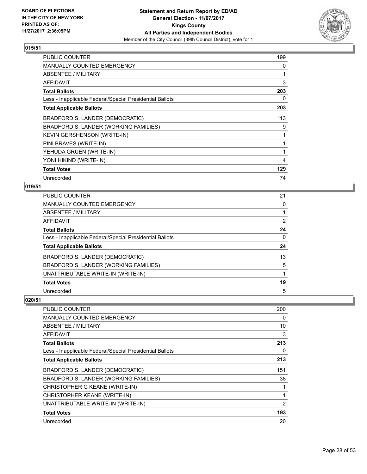

| <b>PUBLIC COUNTER</b>                                    | 199 |
|----------------------------------------------------------|-----|
| MANUALLY COUNTED EMERGENCY                               | 0   |
| ABSENTEE / MILITARY                                      | 1   |
| <b>AFFIDAVIT</b>                                         | 3   |
| <b>Total Ballots</b>                                     | 203 |
| Less - Inapplicable Federal/Special Presidential Ballots | 0   |
| <b>Total Applicable Ballots</b>                          | 203 |
| BRADFORD S. LANDER (DEMOCRATIC)                          | 113 |
| BRADFORD S. LANDER (WORKING FAMILIES)                    | 9   |
| <b>KEVIN GERSHENSON (WRITE-IN)</b>                       | 1   |
| PINI BRAVES (WRITE-IN)                                   | 1   |
| YEHUDA GRUEN (WRITE-IN)                                  | 1   |
| YONI HIKIND (WRITE-IN)                                   | 4   |
| <b>Total Votes</b>                                       | 129 |
| Unrecorded                                               | 74  |

# **019/51**

| PUBLIC COUNTER                                           | 21 |
|----------------------------------------------------------|----|
| <b>MANUALLY COUNTED EMERGENCY</b>                        | 0  |
| ABSENTEE / MILITARY                                      |    |
| AFFIDAVIT                                                | 2  |
| <b>Total Ballots</b>                                     | 24 |
| Less - Inapplicable Federal/Special Presidential Ballots | 0  |
| <b>Total Applicable Ballots</b>                          | 24 |
| <b>BRADFORD S. LANDER (DEMOCRATIC)</b>                   | 13 |
| BRADFORD S. LANDER (WORKING FAMILIES)                    | 5  |
| UNATTRIBUTABLE WRITE-IN (WRITE-IN)                       |    |
| <b>Total Votes</b>                                       | 19 |
| Unrecorded                                               | 5  |

| <b>PUBLIC COUNTER</b>                                    | 200 |
|----------------------------------------------------------|-----|
| <b>MANUALLY COUNTED EMERGENCY</b>                        | 0   |
| <b>ABSENTEE / MILITARY</b>                               | 10  |
| AFFIDAVIT                                                | 3   |
| <b>Total Ballots</b>                                     | 213 |
| Less - Inapplicable Federal/Special Presidential Ballots | 0   |
| <b>Total Applicable Ballots</b>                          | 213 |
| BRADFORD S. LANDER (DEMOCRATIC)                          | 151 |
| BRADFORD S. LANDER (WORKING FAMILIES)                    | 38  |
| CHRISTOPHER G KEANE (WRITE-IN)                           |     |
| CHRISTOPHER KEANE (WRITE-IN)                             | 1   |
| UNATTRIBUTABLE WRITE-IN (WRITE-IN)                       | 2   |
| <b>Total Votes</b>                                       | 193 |
| Unrecorded                                               | 20  |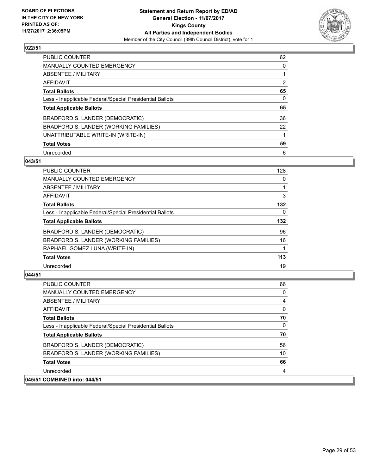

| <b>PUBLIC COUNTER</b>                                    | 62             |
|----------------------------------------------------------|----------------|
| <b>MANUALLY COUNTED EMERGENCY</b>                        | 0              |
| ABSENTEE / MILITARY                                      |                |
| AFFIDAVIT                                                | $\overline{2}$ |
| <b>Total Ballots</b>                                     | 65             |
| Less - Inapplicable Federal/Special Presidential Ballots | 0              |
| <b>Total Applicable Ballots</b>                          | 65             |
| BRADFORD S. LANDER (DEMOCRATIC)                          | 36             |
| BRADFORD S. LANDER (WORKING FAMILIES)                    | 22             |
| UNATTRIBUTABLE WRITE-IN (WRITE-IN)                       |                |
| <b>Total Votes</b>                                       | 59             |
| Unrecorded                                               | 6              |

#### **043/51**

| 128      |
|----------|
| 0        |
|          |
| 3        |
| 132      |
| $\Omega$ |
| 132      |
| 96       |
| 16       |
|          |
| 113      |
| 19       |
|          |

| <b>PUBLIC COUNTER</b>                                    | 66 |
|----------------------------------------------------------|----|
| <b>MANUALLY COUNTED EMERGENCY</b>                        | 0  |
| ABSENTEE / MILITARY                                      | 4  |
| AFFIDAVIT                                                | 0  |
| <b>Total Ballots</b>                                     | 70 |
| Less - Inapplicable Federal/Special Presidential Ballots | 0  |
| <b>Total Applicable Ballots</b>                          | 70 |
| BRADFORD S. LANDER (DEMOCRATIC)                          | 56 |
| BRADFORD S. LANDER (WORKING FAMILIES)                    | 10 |
| <b>Total Votes</b>                                       | 66 |
| Unrecorded                                               | 4  |
| 045/51 COMBINED into: 044/51                             |    |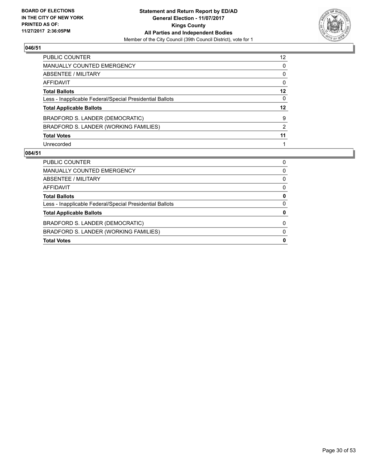

| PUBLIC COUNTER                                           | 12 <sup>2</sup> |
|----------------------------------------------------------|-----------------|
| <b>MANUALLY COUNTED EMERGENCY</b>                        | 0               |
| <b>ABSENTEE / MILITARY</b>                               | 0               |
| AFFIDAVIT                                                | 0               |
| <b>Total Ballots</b>                                     | 12              |
| Less - Inapplicable Federal/Special Presidential Ballots | 0               |
| <b>Total Applicable Ballots</b>                          | $12 \,$         |
| BRADFORD S. LANDER (DEMOCRATIC)                          | 9               |
| BRADFORD S. LANDER (WORKING FAMILIES)                    | 2               |
| <b>Total Votes</b>                                       | 11              |
| Unrecorded                                               |                 |

| <b>PUBLIC COUNTER</b>                                    | 0 |
|----------------------------------------------------------|---|
| MANUALLY COUNTED EMERGENCY                               | 0 |
| ABSENTEE / MILITARY                                      | 0 |
| AFFIDAVIT                                                | 0 |
| <b>Total Ballots</b>                                     | 0 |
| Less - Inapplicable Federal/Special Presidential Ballots | 0 |
| <b>Total Applicable Ballots</b>                          | 0 |
| BRADFORD S. LANDER (DEMOCRATIC)                          | 0 |
| BRADFORD S. LANDER (WORKING FAMILIES)                    | 0 |
| <b>Total Votes</b>                                       | 0 |
|                                                          |   |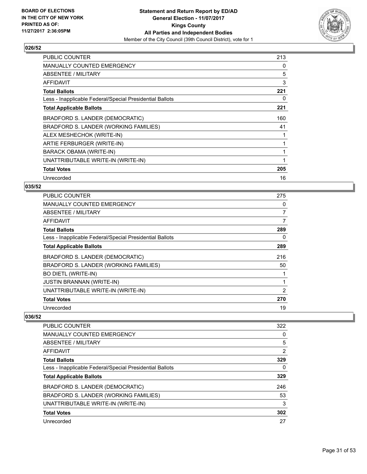

| <b>PUBLIC COUNTER</b>                                    | 213 |
|----------------------------------------------------------|-----|
| <b>MANUALLY COUNTED EMERGENCY</b>                        | 0   |
| ABSENTEE / MILITARY                                      | 5   |
| AFFIDAVIT                                                | 3   |
| <b>Total Ballots</b>                                     | 221 |
| Less - Inapplicable Federal/Special Presidential Ballots | 0   |
| <b>Total Applicable Ballots</b>                          | 221 |
| BRADFORD S. LANDER (DEMOCRATIC)                          | 160 |
| BRADFORD S. LANDER (WORKING FAMILIES)                    | 41  |
| ALEX MESHECHOK (WRITE-IN)                                | 1   |
| ARTIE FERBURGER (WRITE-IN)                               | 1   |
| BARACK OBAMA (WRITE-IN)                                  | 1   |
| UNATTRIBUTABLE WRITE-IN (WRITE-IN)                       | 1   |
| <b>Total Votes</b>                                       | 205 |
| Unrecorded                                               | 16  |

## **035/52**

| <b>PUBLIC COUNTER</b>                                    | 275 |
|----------------------------------------------------------|-----|
| <b>MANUALLY COUNTED EMERGENCY</b>                        | 0   |
| ABSENTEE / MILITARY                                      | 7   |
| AFFIDAVIT                                                | 7   |
| <b>Total Ballots</b>                                     | 289 |
| Less - Inapplicable Federal/Special Presidential Ballots | 0   |
| <b>Total Applicable Ballots</b>                          | 289 |
| BRADFORD S. LANDER (DEMOCRATIC)                          | 216 |
| BRADFORD S. LANDER (WORKING FAMILIES)                    | 50  |
| <b>BO DIETL (WRITE-IN)</b>                               |     |
| <b>JUSTIN BRANNAN (WRITE-IN)</b>                         | 1   |
| UNATTRIBUTABLE WRITE-IN (WRITE-IN)                       | 2   |
| <b>Total Votes</b>                                       | 270 |
| Unrecorded                                               | 19  |

| PUBLIC COUNTER                                           | 322 |
|----------------------------------------------------------|-----|
| MANUALLY COUNTED EMERGENCY                               | 0   |
| ABSENTEE / MILITARY                                      | 5   |
| AFFIDAVIT                                                | 2   |
| <b>Total Ballots</b>                                     | 329 |
| Less - Inapplicable Federal/Special Presidential Ballots | 0   |
| <b>Total Applicable Ballots</b>                          | 329 |
| BRADFORD S. LANDER (DEMOCRATIC)                          | 246 |
| BRADFORD S. LANDER (WORKING FAMILIES)                    | 53  |
| UNATTRIBUTABLE WRITE-IN (WRITE-IN)                       | 3   |
| <b>Total Votes</b>                                       | 302 |
| Unrecorded                                               | 27  |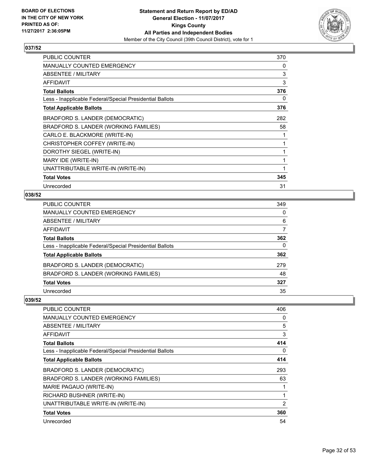

| <b>PUBLIC COUNTER</b>                                    | 370 |
|----------------------------------------------------------|-----|
| <b>MANUALLY COUNTED EMERGENCY</b>                        | 0   |
| ABSENTEE / MILITARY                                      | 3   |
| AFFIDAVIT                                                | 3   |
| <b>Total Ballots</b>                                     | 376 |
| Less - Inapplicable Federal/Special Presidential Ballots | 0   |
| <b>Total Applicable Ballots</b>                          | 376 |
| BRADFORD S. LANDER (DEMOCRATIC)                          | 282 |
| BRADFORD S. LANDER (WORKING FAMILIES)                    | 58  |
| CARLO E. BLACKMORE (WRITE-IN)                            | 1   |
| CHRISTOPHER COFFEY (WRITE-IN)                            | 1   |
| DOROTHY SIEGEL (WRITE-IN)                                | 1   |
| MARY IDE (WRITE-IN)                                      | 1   |
| UNATTRIBUTABLE WRITE-IN (WRITE-IN)                       | 1   |
| <b>Total Votes</b>                                       | 345 |
| Unrecorded                                               | 31  |

# **038/52**

| <b>PUBLIC COUNTER</b>                                    | 349 |
|----------------------------------------------------------|-----|
| <b>MANUALLY COUNTED EMERGENCY</b>                        | 0   |
| ABSENTEE / MILITARY                                      | 6   |
| AFFIDAVIT                                                |     |
| <b>Total Ballots</b>                                     | 362 |
| Less - Inapplicable Federal/Special Presidential Ballots | 0   |
| <b>Total Applicable Ballots</b>                          | 362 |
| BRADFORD S. LANDER (DEMOCRATIC)                          | 279 |
| BRADFORD S. LANDER (WORKING FAMILIES)                    | 48  |
| <b>Total Votes</b>                                       | 327 |
| Unrecorded                                               | 35  |

| <b>PUBLIC COUNTER</b>                                    | 406 |
|----------------------------------------------------------|-----|
| MANUALLY COUNTED EMERGENCY                               | 0   |
| ABSENTEE / MILITARY                                      | 5   |
| AFFIDAVIT                                                | 3   |
| <b>Total Ballots</b>                                     | 414 |
| Less - Inapplicable Federal/Special Presidential Ballots | 0   |
| <b>Total Applicable Ballots</b>                          | 414 |
| BRADFORD S. LANDER (DEMOCRATIC)                          | 293 |
| BRADFORD S. LANDER (WORKING FAMILIES)                    | 63  |
| MARIE PAGAUO (WRITE-IN)                                  |     |
| RICHARD BUSHNER (WRITE-IN)                               |     |
| UNATTRIBUTABLE WRITE-IN (WRITE-IN)                       | 2   |
| <b>Total Votes</b>                                       | 360 |
| Unrecorded                                               | 54  |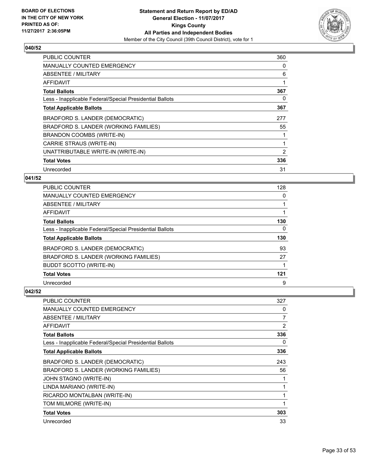

| <b>PUBLIC COUNTER</b>                                    | 360            |
|----------------------------------------------------------|----------------|
| <b>MANUALLY COUNTED EMERGENCY</b>                        | 0              |
| <b>ABSENTEE / MILITARY</b>                               | 6              |
| AFFIDAVIT                                                |                |
| <b>Total Ballots</b>                                     | 367            |
| Less - Inapplicable Federal/Special Presidential Ballots | 0              |
| <b>Total Applicable Ballots</b>                          | 367            |
| BRADFORD S. LANDER (DEMOCRATIC)                          | 277            |
| BRADFORD S. LANDER (WORKING FAMILIES)                    | 55             |
| BRANDON COOMBS (WRITE-IN)                                |                |
| CARRIE STRAUS (WRITE-IN)                                 |                |
| UNATTRIBUTABLE WRITE-IN (WRITE-IN)                       | $\overline{2}$ |
| <b>Total Votes</b>                                       | 336            |
| Unrecorded                                               | 31             |

# **041/52**

| <b>PUBLIC COUNTER</b>                                    | 128 |
|----------------------------------------------------------|-----|
| <b>MANUALLY COUNTED EMERGENCY</b>                        | 0   |
| ABSENTEE / MILITARY                                      |     |
| AFFIDAVIT                                                |     |
| <b>Total Ballots</b>                                     | 130 |
| Less - Inapplicable Federal/Special Presidential Ballots | 0   |
| <b>Total Applicable Ballots</b>                          | 130 |
| BRADFORD S. LANDER (DEMOCRATIC)                          | 93  |
| BRADFORD S. LANDER (WORKING FAMILIES)                    | 27  |
| <b>BUDDT SCOTTO (WRITE-IN)</b>                           |     |
| <b>Total Votes</b>                                       | 121 |
| Unrecorded                                               | 9   |

| <b>PUBLIC COUNTER</b>                                    | 327 |
|----------------------------------------------------------|-----|
| <b>MANUALLY COUNTED EMERGENCY</b>                        | 0   |
| <b>ABSENTEE / MILITARY</b>                               | 7   |
| AFFIDAVIT                                                | 2   |
| <b>Total Ballots</b>                                     | 336 |
| Less - Inapplicable Federal/Special Presidential Ballots | 0   |
| <b>Total Applicable Ballots</b>                          | 336 |
| BRADFORD S. LANDER (DEMOCRATIC)                          | 243 |
| BRADFORD S. LANDER (WORKING FAMILIES)                    | 56  |
| JOHN STAGNO (WRITE-IN)                                   | 1   |
| LINDA MARIANO (WRITE-IN)                                 | 1   |
| RICARDO MONTALBAN (WRITE-IN)                             | 1   |
| TOM MILMORE (WRITE-IN)                                   | 1   |
| <b>Total Votes</b>                                       | 303 |
| Unrecorded                                               | 33  |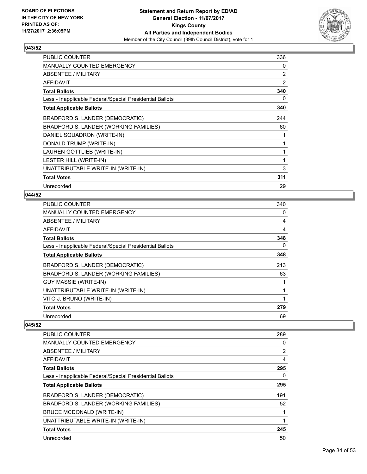

| <b>PUBLIC COUNTER</b>                                    | 336 |
|----------------------------------------------------------|-----|
| <b>MANUALLY COUNTED EMERGENCY</b>                        | 0   |
| ABSENTEE / MILITARY                                      | 2   |
| AFFIDAVIT                                                | 2   |
| <b>Total Ballots</b>                                     | 340 |
| Less - Inapplicable Federal/Special Presidential Ballots | 0   |
| <b>Total Applicable Ballots</b>                          | 340 |
| BRADFORD S. LANDER (DEMOCRATIC)                          | 244 |
| BRADFORD S. LANDER (WORKING FAMILIES)                    | 60  |
| DANIEL SQUADRON (WRITE-IN)                               | 1   |
| DONALD TRUMP (WRITE-IN)                                  | 1   |
| LAUREN GOTTLIEB (WRITE-IN)                               | 1   |
| LESTER HILL (WRITE-IN)                                   | 1   |
| UNATTRIBUTABLE WRITE-IN (WRITE-IN)                       | 3   |
| <b>Total Votes</b>                                       | 311 |
| Unrecorded                                               | 29  |

# **044/52**

| <b>PUBLIC COUNTER</b>                                    | 340 |
|----------------------------------------------------------|-----|
| MANUALLY COUNTED EMERGENCY                               | 0   |
| ABSENTEE / MILITARY                                      | 4   |
| AFFIDAVIT                                                | 4   |
| <b>Total Ballots</b>                                     | 348 |
| Less - Inapplicable Federal/Special Presidential Ballots | 0   |
| <b>Total Applicable Ballots</b>                          | 348 |
| BRADFORD S. LANDER (DEMOCRATIC)                          | 213 |
| BRADFORD S. LANDER (WORKING FAMILIES)                    | 63  |
| <b>GUY MASSIE (WRITE-IN)</b>                             |     |
| UNATTRIBUTABLE WRITE-IN (WRITE-IN)                       | 1   |
| VITO J. BRUNO (WRITE-IN)                                 | 1   |
| <b>Total Votes</b>                                       | 279 |
| Unrecorded                                               | 69  |

| <b>PUBLIC COUNTER</b>                                    | 289 |
|----------------------------------------------------------|-----|
| <b>MANUALLY COUNTED EMERGENCY</b>                        | 0   |
| ABSENTEE / MILITARY                                      | 2   |
| AFFIDAVIT                                                | 4   |
| <b>Total Ballots</b>                                     | 295 |
| Less - Inapplicable Federal/Special Presidential Ballots | 0   |
| <b>Total Applicable Ballots</b>                          | 295 |
| BRADFORD S. LANDER (DEMOCRATIC)                          | 191 |
| BRADFORD S. LANDER (WORKING FAMILIES)                    | 52  |
| BRUCE MCDONALD (WRITE-IN)                                |     |
| UNATTRIBUTABLE WRITE-IN (WRITE-IN)                       | 1   |
| <b>Total Votes</b>                                       | 245 |
| Unrecorded                                               | 50  |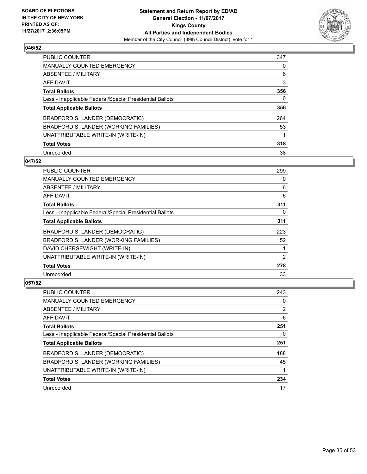

| PUBLIC COUNTER                                           | 347 |
|----------------------------------------------------------|-----|
| <b>MANUALLY COUNTED EMERGENCY</b>                        | 0   |
| ABSENTEE / MILITARY                                      | 6   |
| AFFIDAVIT                                                | 3   |
| <b>Total Ballots</b>                                     | 356 |
| Less - Inapplicable Federal/Special Presidential Ballots | 0   |
| <b>Total Applicable Ballots</b>                          | 356 |
| BRADFORD S. LANDER (DEMOCRATIC)                          | 264 |
| BRADFORD S. LANDER (WORKING FAMILIES)                    | 53  |
| UNATTRIBUTABLE WRITE-IN (WRITE-IN)                       |     |
| <b>Total Votes</b>                                       | 318 |
| Unrecorded                                               | 38  |

## **047/52**

| <b>PUBLIC COUNTER</b>                                    | 299 |
|----------------------------------------------------------|-----|
| <b>MANUALLY COUNTED EMERGENCY</b>                        | 0   |
| ABSENTEE / MILITARY                                      | 6   |
| AFFIDAVIT                                                | 6   |
| <b>Total Ballots</b>                                     | 311 |
| Less - Inapplicable Federal/Special Presidential Ballots | 0   |
| <b>Total Applicable Ballots</b>                          | 311 |
| BRADFORD S. LANDER (DEMOCRATIC)                          | 223 |
| BRADFORD S. LANDER (WORKING FAMILIES)                    | 52  |
| DAVID CHERSEWIGHT (WRITE-IN)                             |     |
| UNATTRIBUTABLE WRITE-IN (WRITE-IN)                       | 2   |
| <b>Total Votes</b>                                       | 278 |
| Unrecorded                                               | 33  |

| <b>PUBLIC COUNTER</b>                                    | 243 |
|----------------------------------------------------------|-----|
| <b>MANUALLY COUNTED EMERGENCY</b>                        | 0   |
| ABSENTEE / MILITARY                                      | 2   |
| AFFIDAVIT                                                | 6   |
| <b>Total Ballots</b>                                     | 251 |
| Less - Inapplicable Federal/Special Presidential Ballots | 0   |
| <b>Total Applicable Ballots</b>                          | 251 |
| BRADFORD S. LANDER (DEMOCRATIC)                          | 188 |
| BRADFORD S. LANDER (WORKING FAMILIES)                    | 45  |
| UNATTRIBUTABLE WRITE-IN (WRITE-IN)                       |     |
| <b>Total Votes</b>                                       | 234 |
| Unrecorded                                               | 17  |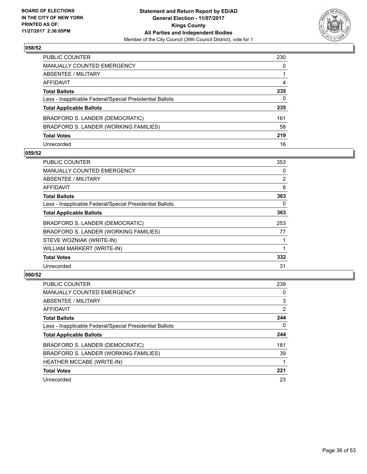

| PUBLIC COUNTER                                           | 230 |
|----------------------------------------------------------|-----|
| MANUALLY COUNTED EMERGENCY                               | 0   |
| ABSENTEE / MILITARY                                      |     |
| AFFIDAVIT                                                | 4   |
| <b>Total Ballots</b>                                     | 235 |
| Less - Inapplicable Federal/Special Presidential Ballots | 0   |
| <b>Total Applicable Ballots</b>                          | 235 |
| BRADFORD S. LANDER (DEMOCRATIC)                          | 161 |
| BRADFORD S. LANDER (WORKING FAMILIES)                    | 58  |
| <b>Total Votes</b>                                       | 219 |
| Unrecorded                                               | 16  |

#### **059/52**

| <b>PUBLIC COUNTER</b>                                    | 353            |
|----------------------------------------------------------|----------------|
| <b>MANUALLY COUNTED EMERGENCY</b>                        | 0              |
| ABSENTEE / MILITARY                                      | $\overline{2}$ |
| <b>AFFIDAVIT</b>                                         | 8              |
| <b>Total Ballots</b>                                     | 363            |
| Less - Inapplicable Federal/Special Presidential Ballots | 0              |
| <b>Total Applicable Ballots</b>                          | 363            |
| BRADFORD S. LANDER (DEMOCRATIC)                          | 253            |
| BRADFORD S. LANDER (WORKING FAMILIES)                    | 77             |
| STEVE WOZNIAK (WRITE-IN)                                 |                |
| WILLIAM MARKERT (WRITE-IN)                               |                |
| <b>Total Votes</b>                                       | 332            |
| Unrecorded                                               | 31             |

| <b>PUBLIC COUNTER</b>                                    | 239            |
|----------------------------------------------------------|----------------|
| <b>MANUALLY COUNTED EMERGENCY</b>                        | 0              |
| ABSENTEE / MILITARY                                      | 3              |
| AFFIDAVIT                                                | $\overline{2}$ |
| <b>Total Ballots</b>                                     | 244            |
| Less - Inapplicable Federal/Special Presidential Ballots | 0              |
| <b>Total Applicable Ballots</b>                          | 244            |
| BRADFORD S. LANDER (DEMOCRATIC)                          | 181            |
| BRADFORD S. LANDER (WORKING FAMILIES)                    | 39             |
| <b>HEATHER MCCABE (WRITE-IN)</b>                         |                |
| <b>Total Votes</b>                                       | 221            |
| Unrecorded                                               | 23             |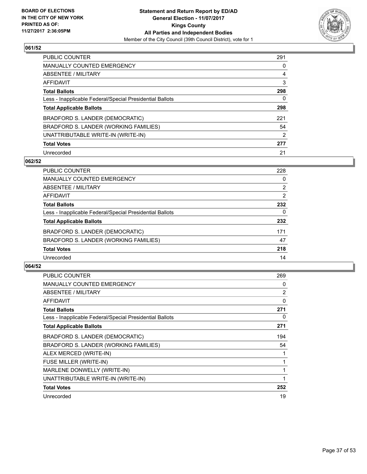

| PUBLIC COUNTER                                           | 291 |
|----------------------------------------------------------|-----|
| <b>MANUALLY COUNTED EMERGENCY</b>                        | 0   |
| ABSENTEE / MILITARY                                      | 4   |
| AFFIDAVIT                                                | 3   |
| <b>Total Ballots</b>                                     | 298 |
| Less - Inapplicable Federal/Special Presidential Ballots | 0   |
| <b>Total Applicable Ballots</b>                          | 298 |
| BRADFORD S. LANDER (DEMOCRATIC)                          | 221 |
| BRADFORD S. LANDER (WORKING FAMILIES)                    | 54  |
| UNATTRIBUTABLE WRITE-IN (WRITE-IN)                       | 2   |
| <b>Total Votes</b>                                       | 277 |
| Unrecorded                                               | 21  |

#### **062/52**

| <b>PUBLIC COUNTER</b>                                    | 228            |
|----------------------------------------------------------|----------------|
| <b>MANUALLY COUNTED EMERGENCY</b>                        | 0              |
| ABSENTEE / MILITARY                                      | $\overline{2}$ |
| <b>AFFIDAVIT</b>                                         | 2              |
| <b>Total Ballots</b>                                     | 232            |
| Less - Inapplicable Federal/Special Presidential Ballots | 0              |
| <b>Total Applicable Ballots</b>                          | 232            |
| BRADFORD S. LANDER (DEMOCRATIC)                          | 171            |
| BRADFORD S. LANDER (WORKING FAMILIES)                    | 47             |
| <b>Total Votes</b>                                       | 218            |
| Unrecorded                                               | 14             |

| <b>PUBLIC COUNTER</b>                                    | 269 |
|----------------------------------------------------------|-----|
| <b>MANUALLY COUNTED EMERGENCY</b>                        | 0   |
| ABSENTEE / MILITARY                                      | 2   |
| <b>AFFIDAVIT</b>                                         | 0   |
| <b>Total Ballots</b>                                     | 271 |
| Less - Inapplicable Federal/Special Presidential Ballots | 0   |
| <b>Total Applicable Ballots</b>                          | 271 |
| BRADFORD S. LANDER (DEMOCRATIC)                          | 194 |
| BRADFORD S. LANDER (WORKING FAMILIES)                    | 54  |
| ALEX MERCED (WRITE-IN)                                   |     |
| FUSE MILLER (WRITE-IN)                                   |     |
| MARLENE DONWELLY (WRITE-IN)                              |     |
| UNATTRIBUTABLE WRITE-IN (WRITE-IN)                       | 1   |
| <b>Total Votes</b>                                       | 252 |
| Unrecorded                                               | 19  |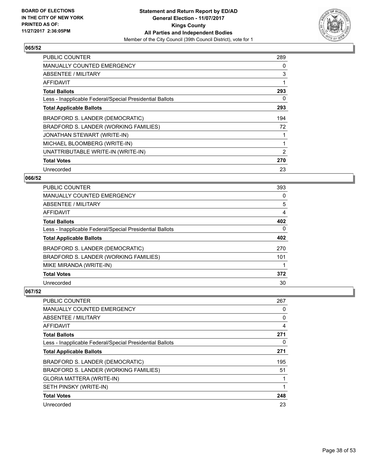

| <b>PUBLIC COUNTER</b>                                    | 289 |
|----------------------------------------------------------|-----|
| <b>MANUALLY COUNTED EMERGENCY</b>                        | 0   |
| <b>ABSENTEE / MILITARY</b>                               | 3   |
| AFFIDAVIT                                                | 1   |
| <b>Total Ballots</b>                                     | 293 |
| Less - Inapplicable Federal/Special Presidential Ballots | 0   |
| <b>Total Applicable Ballots</b>                          | 293 |
| BRADFORD S. LANDER (DEMOCRATIC)                          | 194 |
| BRADFORD S. LANDER (WORKING FAMILIES)                    | 72  |
| JONATHAN STEWART (WRITE-IN)                              | 1   |
| MICHAEL BLOOMBERG (WRITE-IN)                             | 1   |
| UNATTRIBUTABLE WRITE-IN (WRITE-IN)                       | 2   |
| <b>Total Votes</b>                                       | 270 |
| Unrecorded                                               | 23  |

# **066/52**

| <b>PUBLIC COUNTER</b>                                    | 393 |
|----------------------------------------------------------|-----|
| <b>MANUALLY COUNTED EMERGENCY</b>                        | 0   |
| ABSENTEE / MILITARY                                      | 5   |
| <b>AFFIDAVIT</b>                                         | 4   |
| <b>Total Ballots</b>                                     | 402 |
| Less - Inapplicable Federal/Special Presidential Ballots | 0   |
| <b>Total Applicable Ballots</b>                          | 402 |
| BRADFORD S. LANDER (DEMOCRATIC)                          | 270 |
| BRADFORD S. LANDER (WORKING FAMILIES)                    | 101 |
| MIKE MIRANDA (WRITE-IN)                                  |     |
| <b>Total Votes</b>                                       | 372 |
| Unrecorded                                               | 30  |

| <b>PUBLIC COUNTER</b>                                    | 267 |
|----------------------------------------------------------|-----|
| <b>MANUALLY COUNTED EMERGENCY</b>                        | 0   |
| ABSENTEE / MILITARY                                      | 0   |
| AFFIDAVIT                                                | 4   |
| <b>Total Ballots</b>                                     | 271 |
| Less - Inapplicable Federal/Special Presidential Ballots | 0   |
| <b>Total Applicable Ballots</b>                          | 271 |
| BRADFORD S. LANDER (DEMOCRATIC)                          | 195 |
| BRADFORD S. LANDER (WORKING FAMILIES)                    | 51  |
| GLORIA MATTERA (WRITE-IN)                                |     |
| SETH PINSKY (WRITE-IN)                                   | 1   |
| <b>Total Votes</b>                                       | 248 |
| Unrecorded                                               | 23  |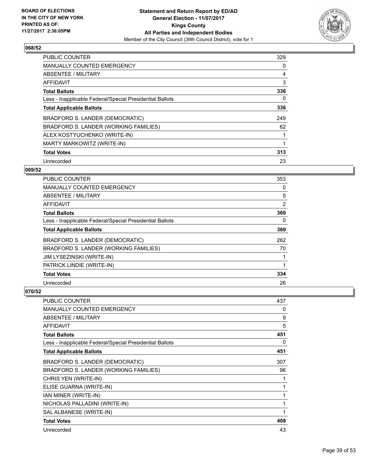

| <b>PUBLIC COUNTER</b>                                    | 329 |
|----------------------------------------------------------|-----|
| <b>MANUALLY COUNTED EMERGENCY</b>                        | 0   |
| ABSENTEE / MILITARY                                      | 4   |
| AFFIDAVIT                                                | 3   |
| <b>Total Ballots</b>                                     | 336 |
| Less - Inapplicable Federal/Special Presidential Ballots | 0   |
| <b>Total Applicable Ballots</b>                          | 336 |
| BRADFORD S. LANDER (DEMOCRATIC)                          | 249 |
| BRADFORD S. LANDER (WORKING FAMILIES)                    | 62  |
| ALEX KOSTYUCHENKO (WRITE-IN)                             |     |
| MARTY MARKOWITZ (WRITE-IN)                               | 1   |
| <b>Total Votes</b>                                       | 313 |
| Unrecorded                                               | 23  |

# **069/52**

| PUBLIC COUNTER                                           | 353 |
|----------------------------------------------------------|-----|
| MANUALLY COUNTED EMERGENCY                               | 0   |
| ABSENTEE / MILITARY                                      | 5   |
| AFFIDAVIT                                                | 2   |
| <b>Total Ballots</b>                                     | 360 |
| Less - Inapplicable Federal/Special Presidential Ballots | 0   |
| <b>Total Applicable Ballots</b>                          | 360 |
| BRADFORD S. LANDER (DEMOCRATIC)                          | 262 |
| BRADFORD S. LANDER (WORKING FAMILIES)                    | 70  |
| JIM LYSEZINSKI (WRITE-IN)                                |     |
| PATRICK LINDIE (WRITE-IN)                                |     |
| <b>Total Votes</b>                                       | 334 |
| Unrecorded                                               | 26  |

| <b>PUBLIC COUNTER</b>                                    | 437 |
|----------------------------------------------------------|-----|
| <b>MANUALLY COUNTED EMERGENCY</b>                        | 0   |
| <b>ABSENTEE / MILITARY</b>                               | 9   |
| <b>AFFIDAVIT</b>                                         | 5   |
| <b>Total Ballots</b>                                     | 451 |
| Less - Inapplicable Federal/Special Presidential Ballots | 0   |
| <b>Total Applicable Ballots</b>                          | 451 |
| BRADFORD S. LANDER (DEMOCRATIC)                          | 307 |
| BRADFORD S. LANDER (WORKING FAMILIES)                    | 96  |
| CHRIS YEN (WRITE-IN)                                     | 1   |
| ELISE GUARNA (WRITE-IN)                                  | 1   |
| IAN MINER (WRITE-IN)                                     | 1   |
| NICHOLAS PALLADINI (WRITE-IN)                            | 1   |
| SAL ALBANESE (WRITE-IN)                                  | 1   |
| <b>Total Votes</b>                                       | 408 |
| Unrecorded                                               | 43  |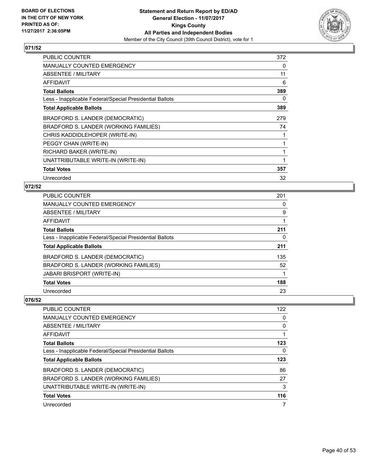

| <b>PUBLIC COUNTER</b>                                    | 372 |
|----------------------------------------------------------|-----|
| <b>MANUALLY COUNTED EMERGENCY</b>                        | 0   |
| ABSENTEE / MILITARY                                      | 11  |
| AFFIDAVIT                                                | 6   |
| <b>Total Ballots</b>                                     | 389 |
| Less - Inapplicable Federal/Special Presidential Ballots | 0   |
| <b>Total Applicable Ballots</b>                          | 389 |
| BRADFORD S. LANDER (DEMOCRATIC)                          | 279 |
| BRADFORD S. LANDER (WORKING FAMILIES)                    | 74  |
| CHRIS KADDIDLEHOPER (WRITE-IN)                           | 1   |
| PEGGY CHAN (WRITE-IN)                                    | 1   |
| RICHARD BAKER (WRITE-IN)                                 | 1   |
| UNATTRIBUTABLE WRITE-IN (WRITE-IN)                       | 1   |
| <b>Total Votes</b>                                       | 357 |
| Unrecorded                                               | 32  |

## **072/52**

| <b>PUBLIC COUNTER</b>                                    | 201 |
|----------------------------------------------------------|-----|
| <b>MANUALLY COUNTED EMERGENCY</b>                        | 0   |
| <b>ABSENTEE / MILITARY</b>                               | 9   |
| <b>AFFIDAVIT</b>                                         |     |
| <b>Total Ballots</b>                                     | 211 |
| Less - Inapplicable Federal/Special Presidential Ballots | 0   |
| <b>Total Applicable Ballots</b>                          | 211 |
| BRADFORD S. LANDER (DEMOCRATIC)                          | 135 |
| BRADFORD S. LANDER (WORKING FAMILIES)                    | 52  |
| <b>JABARI BRISPORT (WRITE-IN)</b>                        | 1   |
| <b>Total Votes</b>                                       | 188 |
| Unrecorded                                               | 23  |

| PUBLIC COUNTER                                           | 122 |
|----------------------------------------------------------|-----|
| <b>MANUALLY COUNTED EMERGENCY</b>                        | 0   |
| ABSENTEE / MILITARY                                      | 0   |
| AFFIDAVIT                                                |     |
| <b>Total Ballots</b>                                     | 123 |
| Less - Inapplicable Federal/Special Presidential Ballots | 0   |
| <b>Total Applicable Ballots</b>                          | 123 |
| BRADFORD S. LANDER (DEMOCRATIC)                          | 86  |
| BRADFORD S. LANDER (WORKING FAMILIES)                    | 27  |
| UNATTRIBUTABLE WRITE-IN (WRITE-IN)                       | 3   |
| <b>Total Votes</b>                                       | 116 |
| Unrecorded                                               | 7   |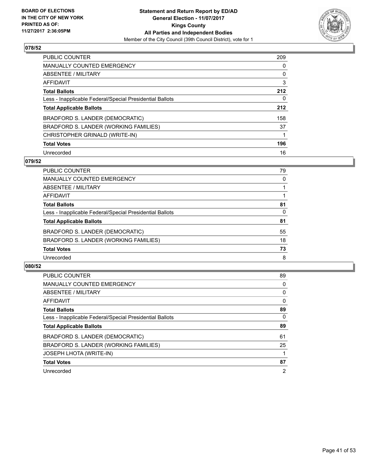

| <b>PUBLIC COUNTER</b>                                    | 209 |
|----------------------------------------------------------|-----|
| <b>MANUALLY COUNTED EMERGENCY</b>                        | 0   |
| ABSENTEE / MILITARY                                      | 0   |
| AFFIDAVIT                                                | 3   |
| <b>Total Ballots</b>                                     | 212 |
| Less - Inapplicable Federal/Special Presidential Ballots | 0   |
| <b>Total Applicable Ballots</b>                          | 212 |
| BRADFORD S. LANDER (DEMOCRATIC)                          | 158 |
| BRADFORD S. LANDER (WORKING FAMILIES)                    | 37  |
| CHRISTOPHER GRINALD (WRITE-IN)                           |     |
| <b>Total Votes</b>                                       | 196 |
| Unrecorded                                               | 16  |

#### **079/52**

| <b>PUBLIC COUNTER</b>                                    | 79 |
|----------------------------------------------------------|----|
| MANUALLY COUNTED EMERGENCY                               | 0  |
| ABSENTEE / MILITARY                                      |    |
| AFFIDAVIT                                                |    |
| <b>Total Ballots</b>                                     | 81 |
| Less - Inapplicable Federal/Special Presidential Ballots | 0  |
| <b>Total Applicable Ballots</b>                          | 81 |
| BRADFORD S. LANDER (DEMOCRATIC)                          | 55 |
| BRADFORD S. LANDER (WORKING FAMILIES)                    | 18 |
| <b>Total Votes</b>                                       | 73 |
| Unrecorded                                               | 8  |

| <b>PUBLIC COUNTER</b>                                    | 89       |
|----------------------------------------------------------|----------|
| <b>MANUALLY COUNTED EMERGENCY</b>                        | 0        |
| ABSENTEE / MILITARY                                      | 0        |
| <b>AFFIDAVIT</b>                                         | $\Omega$ |
| <b>Total Ballots</b>                                     | 89       |
| Less - Inapplicable Federal/Special Presidential Ballots | $\Omega$ |
| <b>Total Applicable Ballots</b>                          | 89       |
| BRADFORD S. LANDER (DEMOCRATIC)                          | 61       |
| BRADFORD S. LANDER (WORKING FAMILIES)                    | 25       |
| <b>JOSEPH LHOTA (WRITE-IN)</b>                           |          |
| <b>Total Votes</b>                                       | 87       |
| Unrecorded                                               | 2        |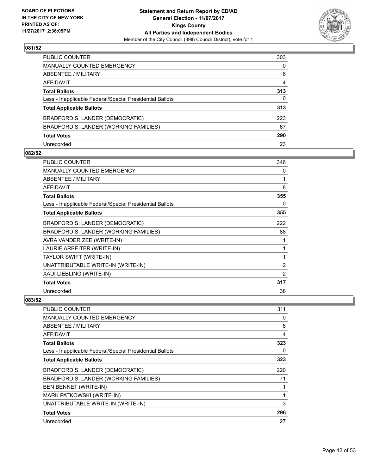

| PUBLIC COUNTER                                           | 303 |
|----------------------------------------------------------|-----|
| MANUALLY COUNTED EMERGENCY                               | 0   |
| ABSENTEE / MILITARY                                      | 6   |
| AFFIDAVIT                                                | 4   |
| Total Ballots                                            | 313 |
| Less - Inapplicable Federal/Special Presidential Ballots | 0   |
| <b>Total Applicable Ballots</b>                          | 313 |
| BRADFORD S. LANDER (DEMOCRATIC)                          | 223 |
| BRADFORD S. LANDER (WORKING FAMILIES)                    | 67  |
| <b>Total Votes</b>                                       | 290 |
| Unrecorded                                               | 23  |

#### **082/52**

| <b>PUBLIC COUNTER</b>                                    | 346            |
|----------------------------------------------------------|----------------|
| <b>MANUALLY COUNTED EMERGENCY</b>                        | 0              |
| ABSENTEE / MILITARY                                      | 1              |
| <b>AFFIDAVIT</b>                                         | 8              |
| <b>Total Ballots</b>                                     | 355            |
| Less - Inapplicable Federal/Special Presidential Ballots | 0              |
| <b>Total Applicable Ballots</b>                          | 355            |
| BRADFORD S. LANDER (DEMOCRATIC)                          | 222            |
| BRADFORD S. LANDER (WORKING FAMILIES)                    | 88             |
| AVRA VANDER ZEE (WRITE-IN)                               | 1              |
| LAURIE ARBEITER (WRITE-IN)                               | 1              |
| TAYLOR SWIFT (WRITE-IN)                                  | 1              |
| UNATTRIBUTABLE WRITE-IN (WRITE-IN)                       | 2              |
| XAUI LIEBLING (WRITE-IN)                                 | $\overline{2}$ |
| <b>Total Votes</b>                                       | 317            |
| Unrecorded                                               | 38             |

| <b>PUBLIC COUNTER</b>                                    | 311 |
|----------------------------------------------------------|-----|
| <b>MANUALLY COUNTED EMERGENCY</b>                        | 0   |
| ABSENTEE / MILITARY                                      | 8   |
| <b>AFFIDAVIT</b>                                         | 4   |
| <b>Total Ballots</b>                                     | 323 |
| Less - Inapplicable Federal/Special Presidential Ballots | 0   |
| <b>Total Applicable Ballots</b>                          | 323 |
| BRADFORD S. LANDER (DEMOCRATIC)                          | 220 |
| BRADFORD S. LANDER (WORKING FAMILIES)                    | 71  |
| BEN BENNET (WRITE-IN)                                    |     |
| MARK PATKOWSKI (WRITE-IN)                                |     |
| UNATTRIBUTABLE WRITE-IN (WRITE-IN)                       | 3   |
| <b>Total Votes</b>                                       | 296 |
| Unrecorded                                               | 27  |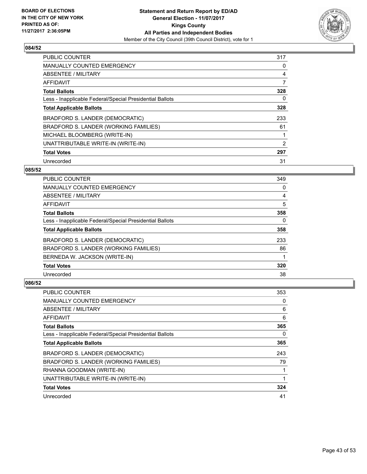

| <b>PUBLIC COUNTER</b>                                    | 317 |
|----------------------------------------------------------|-----|
| <b>MANUALLY COUNTED EMERGENCY</b>                        | 0   |
| ABSENTEE / MILITARY                                      | 4   |
| AFFIDAVIT                                                | 7   |
| <b>Total Ballots</b>                                     | 328 |
| Less - Inapplicable Federal/Special Presidential Ballots | 0   |
| <b>Total Applicable Ballots</b>                          | 328 |
| BRADFORD S. LANDER (DEMOCRATIC)                          | 233 |
| BRADFORD S. LANDER (WORKING FAMILIES)                    | 61  |
| MICHAEL BLOOMBERG (WRITE-IN)                             |     |
| UNATTRIBUTABLE WRITE-IN (WRITE-IN)                       | 2   |
| <b>Total Votes</b>                                       | 297 |
| Unrecorded                                               | 31  |

# **085/52**

| <b>PUBLIC COUNTER</b>                                    | 349 |
|----------------------------------------------------------|-----|
| <b>MANUALLY COUNTED EMERGENCY</b>                        | 0   |
| ABSENTEE / MILITARY                                      | 4   |
| <b>AFFIDAVIT</b>                                         | 5   |
| <b>Total Ballots</b>                                     | 358 |
| Less - Inapplicable Federal/Special Presidential Ballots | 0   |
| <b>Total Applicable Ballots</b>                          | 358 |
| BRADFORD S. LANDER (DEMOCRATIC)                          | 233 |
| BRADFORD S. LANDER (WORKING FAMILIES)                    | 86  |
| BERNEDA W. JACKSON (WRITE-IN)                            |     |
| <b>Total Votes</b>                                       | 320 |
| Unrecorded                                               | 38  |

| PUBLIC COUNTER                                           | 353 |
|----------------------------------------------------------|-----|
| <b>MANUALLY COUNTED EMERGENCY</b>                        | 0   |
| ABSENTEE / MILITARY                                      | 6   |
| AFFIDAVIT                                                | 6   |
| <b>Total Ballots</b>                                     | 365 |
| Less - Inapplicable Federal/Special Presidential Ballots | 0   |
| <b>Total Applicable Ballots</b>                          | 365 |
| BRADFORD S. LANDER (DEMOCRATIC)                          | 243 |
| BRADFORD S. LANDER (WORKING FAMILIES)                    | 79  |
| RHANNA GOODMAN (WRITE-IN)                                |     |
| UNATTRIBUTABLE WRITE-IN (WRITE-IN)                       |     |
| <b>Total Votes</b>                                       | 324 |
| Unrecorded                                               | 41  |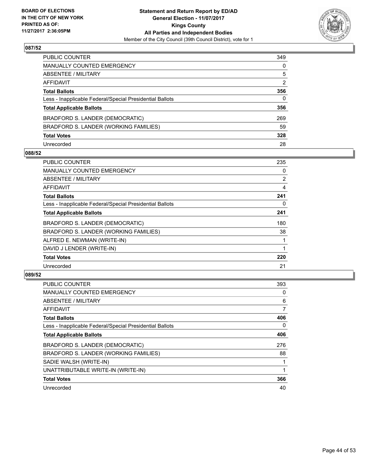

| PUBLIC COUNTER                                           | 349          |
|----------------------------------------------------------|--------------|
| MANUALLY COUNTED EMERGENCY                               | 0            |
| ABSENTEE / MILITARY                                      | 5            |
| AFFIDAVIT                                                | 2            |
| <b>Total Ballots</b>                                     | 356          |
| Less - Inapplicable Federal/Special Presidential Ballots | $\mathbf{0}$ |
| <b>Total Applicable Ballots</b>                          | 356          |
| BRADFORD S. LANDER (DEMOCRATIC)                          | 269          |
| BRADFORD S. LANDER (WORKING FAMILIES)                    | 59           |
| <b>Total Votes</b>                                       | 328          |
| Unrecorded                                               | 28           |

#### **088/52**

| PUBLIC COUNTER                                           | 235            |
|----------------------------------------------------------|----------------|
| <b>MANUALLY COUNTED EMERGENCY</b>                        | 0              |
| ABSENTEE / MILITARY                                      | $\overline{2}$ |
| AFFIDAVIT                                                | 4              |
| <b>Total Ballots</b>                                     | 241            |
| Less - Inapplicable Federal/Special Presidential Ballots | 0              |
| <b>Total Applicable Ballots</b>                          | 241            |
| BRADFORD S. LANDER (DEMOCRATIC)                          | 180            |
| BRADFORD S. LANDER (WORKING FAMILIES)                    | 38             |
| ALFRED E. NEWMAN (WRITE-IN)                              |                |
| DAVID J LENDER (WRITE-IN)                                |                |
| <b>Total Votes</b>                                       | 220            |
| Unrecorded                                               | 21             |

| <b>PUBLIC COUNTER</b>                                    | 393 |
|----------------------------------------------------------|-----|
| MANUALLY COUNTED EMERGENCY                               | 0   |
| ABSENTEE / MILITARY                                      | 6   |
| <b>AFFIDAVIT</b>                                         | 7   |
| <b>Total Ballots</b>                                     | 406 |
| Less - Inapplicable Federal/Special Presidential Ballots | 0   |
| <b>Total Applicable Ballots</b>                          | 406 |
| BRADFORD S. LANDER (DEMOCRATIC)                          | 276 |
| BRADFORD S. LANDER (WORKING FAMILIES)                    | 88  |
| SADIE WALSH (WRITE-IN)                                   |     |
| UNATTRIBUTABLE WRITE-IN (WRITE-IN)                       |     |
| <b>Total Votes</b>                                       | 366 |
| Unrecorded                                               | 40  |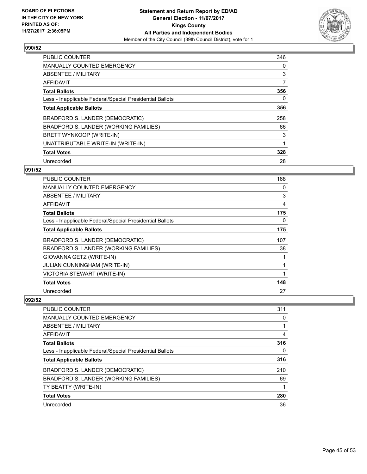

| <b>PUBLIC COUNTER</b>                                    | 346 |
|----------------------------------------------------------|-----|
| <b>MANUALLY COUNTED EMERGENCY</b>                        | 0   |
| ABSENTEE / MILITARY                                      | 3   |
| AFFIDAVIT                                                | 7   |
| <b>Total Ballots</b>                                     | 356 |
| Less - Inapplicable Federal/Special Presidential Ballots | 0   |
| <b>Total Applicable Ballots</b>                          | 356 |
| BRADFORD S. LANDER (DEMOCRATIC)                          | 258 |
| BRADFORD S. LANDER (WORKING FAMILIES)                    | 66  |
| BRETT WYNKOOP (WRITE-IN)                                 | 3   |
| UNATTRIBUTABLE WRITE-IN (WRITE-IN)                       |     |
| <b>Total Votes</b>                                       | 328 |
| Unrecorded                                               | 28  |

## **091/52**

| PUBLIC COUNTER                                           | 168 |
|----------------------------------------------------------|-----|
| <b>MANUALLY COUNTED EMERGENCY</b>                        | 0   |
| ABSENTEE / MILITARY                                      | 3   |
| AFFIDAVIT                                                | 4   |
| <b>Total Ballots</b>                                     | 175 |
| Less - Inapplicable Federal/Special Presidential Ballots | 0   |
| <b>Total Applicable Ballots</b>                          | 175 |
| BRADFORD S. LANDER (DEMOCRATIC)                          | 107 |
| BRADFORD S. LANDER (WORKING FAMILIES)                    | 38  |
| GIOVANNA GETZ (WRITE-IN)                                 | 1   |
| <b>JULIAN CUNNINGHAM (WRITE-IN)</b>                      | 1   |
| VICTORIA STEWART (WRITE-IN)                              | 1   |
| <b>Total Votes</b>                                       | 148 |
| Unrecorded                                               | 27  |

| PUBLIC COUNTER                                           | 311 |
|----------------------------------------------------------|-----|
| <b>MANUALLY COUNTED EMERGENCY</b>                        | 0   |
| ABSENTEE / MILITARY                                      |     |
| AFFIDAVIT                                                | 4   |
| <b>Total Ballots</b>                                     | 316 |
| Less - Inapplicable Federal/Special Presidential Ballots | 0   |
| <b>Total Applicable Ballots</b>                          | 316 |
| BRADFORD S. LANDER (DEMOCRATIC)                          | 210 |
| BRADFORD S. LANDER (WORKING FAMILIES)                    | 69  |
| TY BEATTY (WRITE-IN)                                     |     |
| <b>Total Votes</b>                                       | 280 |
| Unrecorded                                               | 36  |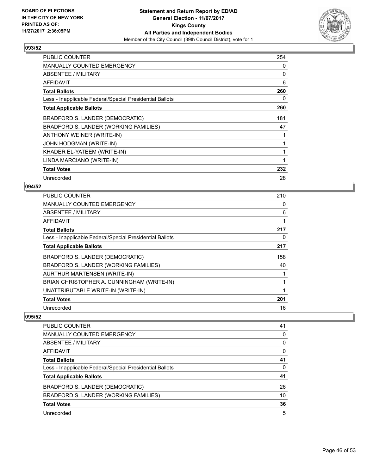

| <b>PUBLIC COUNTER</b>                                    | 254 |
|----------------------------------------------------------|-----|
| <b>MANUALLY COUNTED EMERGENCY</b>                        | 0   |
| ABSENTEE / MILITARY                                      | 0   |
| <b>AFFIDAVIT</b>                                         | 6   |
| <b>Total Ballots</b>                                     | 260 |
| Less - Inapplicable Federal/Special Presidential Ballots | 0   |
| <b>Total Applicable Ballots</b>                          | 260 |
| BRADFORD S. LANDER (DEMOCRATIC)                          | 181 |
| BRADFORD S. LANDER (WORKING FAMILIES)                    | 47  |
| ANTHONY WEINER (WRITE-IN)                                | 1   |
| JOHN HODGMAN (WRITE-IN)                                  | 1   |
| KHADER EL-YATEEM (WRITE-IN)                              | 1   |
| LINDA MARCIANO (WRITE-IN)                                | 1   |
| <b>Total Votes</b>                                       | 232 |
| Unrecorded                                               | 28  |

## **094/52**

| <b>PUBLIC COUNTER</b>                                    | 210 |
|----------------------------------------------------------|-----|
| <b>MANUALLY COUNTED EMERGENCY</b>                        | 0   |
| ABSENTEE / MILITARY                                      | 6   |
| AFFIDAVIT                                                | 1   |
| <b>Total Ballots</b>                                     | 217 |
| Less - Inapplicable Federal/Special Presidential Ballots | 0   |
| <b>Total Applicable Ballots</b>                          | 217 |
| BRADFORD S. LANDER (DEMOCRATIC)                          | 158 |
| BRADFORD S. LANDER (WORKING FAMILIES)                    | 40  |
| AURTHUR MARTENSEN (WRITE-IN)                             | 1   |
| BRIAN CHRISTOPHER A. CUNNINGHAM (WRITE-IN)               |     |
| UNATTRIBUTABLE WRITE-IN (WRITE-IN)                       | 1   |
| <b>Total Votes</b>                                       | 201 |
| Unrecorded                                               | 16  |

| PUBLIC COUNTER                                           | 41 |
|----------------------------------------------------------|----|
| <b>MANUALLY COUNTED EMERGENCY</b>                        | 0  |
| ABSENTEE / MILITARY                                      | 0  |
| AFFIDAVIT                                                | 0  |
| <b>Total Ballots</b>                                     | 41 |
| Less - Inapplicable Federal/Special Presidential Ballots | 0  |
| <b>Total Applicable Ballots</b>                          | 41 |
| BRADFORD S. LANDER (DEMOCRATIC)                          | 26 |
| BRADFORD S. LANDER (WORKING FAMILIES)                    | 10 |
| <b>Total Votes</b>                                       | 36 |
| Unrecorded                                               | 5  |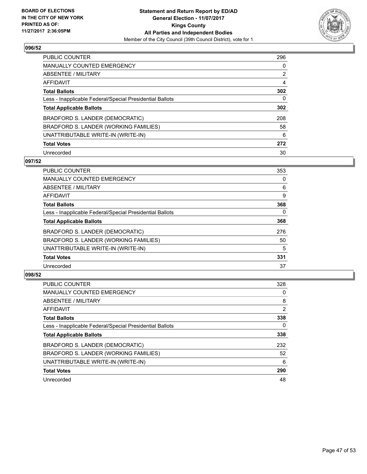

| PUBLIC COUNTER                                           | 296            |
|----------------------------------------------------------|----------------|
| <b>MANUALLY COUNTED EMERGENCY</b>                        | 0              |
| ABSENTEE / MILITARY                                      | $\overline{2}$ |
| AFFIDAVIT                                                | 4              |
| <b>Total Ballots</b>                                     | 302            |
| Less - Inapplicable Federal/Special Presidential Ballots | 0              |
| <b>Total Applicable Ballots</b>                          | 302            |
| BRADFORD S. LANDER (DEMOCRATIC)                          | 208            |
| BRADFORD S. LANDER (WORKING FAMILIES)                    | 58             |
| UNATTRIBUTABLE WRITE-IN (WRITE-IN)                       | 6              |
| <b>Total Votes</b>                                       | 272            |
| Unrecorded                                               | 30             |

#### **097/52**

| <b>PUBLIC COUNTER</b>                                    | 353 |
|----------------------------------------------------------|-----|
| <b>MANUALLY COUNTED EMERGENCY</b>                        | 0   |
| ABSENTEE / MILITARY                                      | 6   |
| <b>AFFIDAVIT</b>                                         | 9   |
| <b>Total Ballots</b>                                     | 368 |
| Less - Inapplicable Federal/Special Presidential Ballots | 0   |
| <b>Total Applicable Ballots</b>                          | 368 |
| BRADFORD S. LANDER (DEMOCRATIC)                          | 276 |
| BRADFORD S. LANDER (WORKING FAMILIES)                    | 50  |
| UNATTRIBUTABLE WRITE-IN (WRITE-IN)                       | 5   |
| <b>Total Votes</b>                                       | 331 |
| Unrecorded                                               | 37  |

| PUBLIC COUNTER                                           | 328            |
|----------------------------------------------------------|----------------|
| <b>MANUALLY COUNTED EMERGENCY</b>                        | 0              |
| ABSENTEE / MILITARY                                      | 8              |
| AFFIDAVIT                                                | $\overline{2}$ |
| <b>Total Ballots</b>                                     | 338            |
| Less - Inapplicable Federal/Special Presidential Ballots | 0              |
| <b>Total Applicable Ballots</b>                          | 338            |
| BRADFORD S. LANDER (DEMOCRATIC)                          | 232            |
| BRADFORD S. LANDER (WORKING FAMILIES)                    | 52             |
| UNATTRIBUTABLE WRITE-IN (WRITE-IN)                       | 6              |
| <b>Total Votes</b>                                       | 290            |
| Unrecorded                                               | 48             |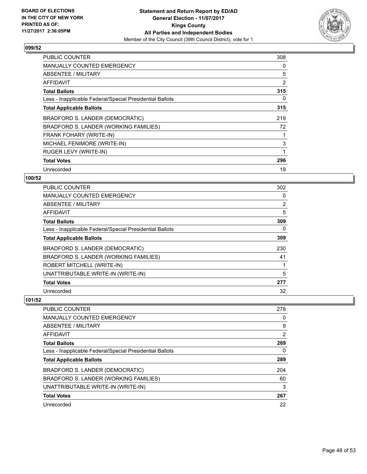

| <b>PUBLIC COUNTER</b>                                    | 308 |
|----------------------------------------------------------|-----|
| <b>MANUALLY COUNTED EMERGENCY</b>                        | 0   |
| ABSENTEE / MILITARY                                      | 5   |
| AFFIDAVIT                                                | 2   |
| <b>Total Ballots</b>                                     | 315 |
| Less - Inapplicable Federal/Special Presidential Ballots | 0   |
| <b>Total Applicable Ballots</b>                          | 315 |
| BRADFORD S. LANDER (DEMOCRATIC)                          | 219 |
| BRADFORD S. LANDER (WORKING FAMILIES)                    | 72  |
| <b>FRANK FOHARY (WRITE-IN)</b>                           | 1   |
| MICHAEL FENIMORE (WRITE-IN)                              | 3   |
| RUGER LEVY (WRITE-IN)                                    | 1   |
| <b>Total Votes</b>                                       | 296 |
| Unrecorded                                               | 19  |

# **100/52**

| <b>PUBLIC COUNTER</b>                                    | 302 |
|----------------------------------------------------------|-----|
| <b>MANUALLY COUNTED EMERGENCY</b>                        | 0   |
| ABSENTEE / MILITARY                                      | 2   |
| AFFIDAVIT                                                | 5   |
| <b>Total Ballots</b>                                     | 309 |
| Less - Inapplicable Federal/Special Presidential Ballots | 0   |
| <b>Total Applicable Ballots</b>                          | 309 |
| BRADFORD S. LANDER (DEMOCRATIC)                          | 230 |
| BRADFORD S. LANDER (WORKING FAMILIES)                    | 41  |
| ROBERT MITCHELL (WRITE-IN)                               |     |
| UNATTRIBUTABLE WRITE-IN (WRITE-IN)                       | 5   |
| <b>Total Votes</b>                                       | 277 |
| Unrecorded                                               | 32  |

| <b>PUBLIC COUNTER</b>                                    | 278 |
|----------------------------------------------------------|-----|
| <b>MANUALLY COUNTED EMERGENCY</b>                        | 0   |
| ABSENTEE / MILITARY                                      | 9   |
| AFFIDAVIT                                                | 2   |
| <b>Total Ballots</b>                                     | 289 |
| Less - Inapplicable Federal/Special Presidential Ballots | 0   |
| <b>Total Applicable Ballots</b>                          | 289 |
| BRADFORD S. LANDER (DEMOCRATIC)                          | 204 |
| BRADFORD S. LANDER (WORKING FAMILIES)                    | 60  |
| UNATTRIBUTABLE WRITE-IN (WRITE-IN)                       | 3   |
| <b>Total Votes</b>                                       | 267 |
| Unrecorded                                               | 22  |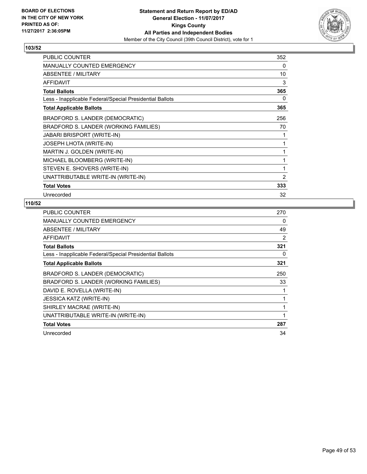

| <b>PUBLIC COUNTER</b>                                    | 352 |
|----------------------------------------------------------|-----|
| <b>MANUALLY COUNTED EMERGENCY</b>                        | 0   |
| <b>ABSENTEE / MILITARY</b>                               | 10  |
| AFFIDAVIT                                                | 3   |
| <b>Total Ballots</b>                                     | 365 |
| Less - Inapplicable Federal/Special Presidential Ballots | 0   |
| <b>Total Applicable Ballots</b>                          | 365 |
| BRADFORD S. LANDER (DEMOCRATIC)                          | 256 |
| BRADFORD S. LANDER (WORKING FAMILIES)                    | 70  |
| JABARI BRISPORT (WRITE-IN)                               | 1   |
| JOSEPH LHOTA (WRITE-IN)                                  | 1   |
| MARTIN J. GOLDEN (WRITE-IN)                              | 1   |
| MICHAEL BLOOMBERG (WRITE-IN)                             | 1   |
| STEVEN E. SHOVERS (WRITE-IN)                             | 1   |
| UNATTRIBUTABLE WRITE-IN (WRITE-IN)                       | 2   |
| <b>Total Votes</b>                                       | 333 |
| Unrecorded                                               | 32  |

| <b>PUBLIC COUNTER</b>                                    | 270            |
|----------------------------------------------------------|----------------|
| <b>MANUALLY COUNTED EMERGENCY</b>                        | 0              |
| ABSENTEE / MILITARY                                      | 49             |
| AFFIDAVIT                                                | $\overline{2}$ |
| <b>Total Ballots</b>                                     | 321            |
| Less - Inapplicable Federal/Special Presidential Ballots | 0              |
| <b>Total Applicable Ballots</b>                          | 321            |
| BRADFORD S. LANDER (DEMOCRATIC)                          | 250            |
| BRADFORD S. LANDER (WORKING FAMILIES)                    | 33             |
| DAVID E. ROVELLA (WRITE-IN)                              | 1              |
| <b>JESSICA KATZ (WRITE-IN)</b>                           | 1              |
| SHIRLEY MACRAE (WRITE-IN)                                | 1              |
| UNATTRIBUTABLE WRITE-IN (WRITE-IN)                       | 1              |
| <b>Total Votes</b>                                       | 287            |
| Unrecorded                                               | 34             |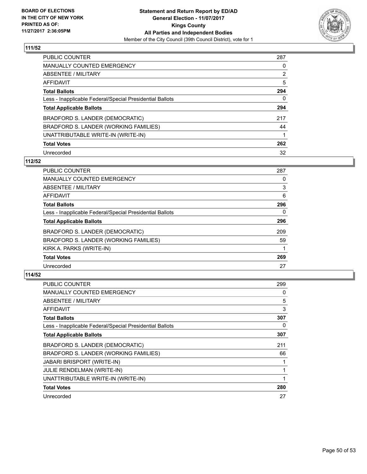

| PUBLIC COUNTER                                           | 287            |
|----------------------------------------------------------|----------------|
| <b>MANUALLY COUNTED EMERGENCY</b>                        | 0              |
| ABSENTEE / MILITARY                                      | $\overline{2}$ |
| AFFIDAVIT                                                | 5              |
| <b>Total Ballots</b>                                     | 294            |
| Less - Inapplicable Federal/Special Presidential Ballots | 0              |
| <b>Total Applicable Ballots</b>                          | 294            |
| BRADFORD S. LANDER (DEMOCRATIC)                          | 217            |
| BRADFORD S. LANDER (WORKING FAMILIES)                    | 44             |
| UNATTRIBUTABLE WRITE-IN (WRITE-IN)                       |                |
| <b>Total Votes</b>                                       | 262            |
| Unrecorded                                               | 32             |

#### **112/52**

| <b>PUBLIC COUNTER</b>                                    | 287 |
|----------------------------------------------------------|-----|
| <b>MANUALLY COUNTED EMERGENCY</b>                        | 0   |
| ABSENTEE / MILITARY                                      | 3   |
| AFFIDAVIT                                                | 6   |
| <b>Total Ballots</b>                                     | 296 |
| Less - Inapplicable Federal/Special Presidential Ballots | 0   |
| <b>Total Applicable Ballots</b>                          | 296 |
| BRADFORD S. LANDER (DEMOCRATIC)                          | 209 |
| BRADFORD S. LANDER (WORKING FAMILIES)                    | 59  |
| KIRK A. PARKS (WRITE-IN)                                 |     |
| <b>Total Votes</b>                                       | 269 |
| Unrecorded                                               | 27  |

| PUBLIC COUNTER                                           | 299 |
|----------------------------------------------------------|-----|
| <b>MANUALLY COUNTED EMERGENCY</b>                        | 0   |
| ABSENTEE / MILITARY                                      | 5   |
| AFFIDAVIT                                                | 3   |
| <b>Total Ballots</b>                                     | 307 |
| Less - Inapplicable Federal/Special Presidential Ballots | 0   |
| <b>Total Applicable Ballots</b>                          | 307 |
| BRADFORD S. LANDER (DEMOCRATIC)                          | 211 |
| BRADFORD S. LANDER (WORKING FAMILIES)                    | 66  |
| <b>JABARI BRISPORT (WRITE-IN)</b>                        |     |
| JULIE RENDELMAN (WRITE-IN)                               |     |
| UNATTRIBUTABLE WRITE-IN (WRITE-IN)                       | 1   |
| <b>Total Votes</b>                                       | 280 |
| Unrecorded                                               | 27  |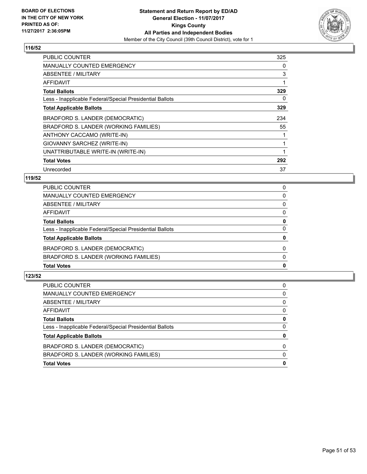

| <b>PUBLIC COUNTER</b>                                    | 325 |
|----------------------------------------------------------|-----|
| <b>MANUALLY COUNTED EMERGENCY</b>                        | 0   |
| ABSENTEE / MILITARY                                      | 3   |
| AFFIDAVIT                                                | 1   |
| <b>Total Ballots</b>                                     | 329 |
| Less - Inapplicable Federal/Special Presidential Ballots | 0   |
| <b>Total Applicable Ballots</b>                          | 329 |
| BRADFORD S. LANDER (DEMOCRATIC)                          | 234 |
| BRADFORD S. LANDER (WORKING FAMILIES)                    | 55  |
| ANTHONY CACCAMO (WRITE-IN)                               |     |
| GIOVANNY SARCHEZ (WRITE-IN)                              | 1   |
| UNATTRIBUTABLE WRITE-IN (WRITE-IN)                       | 1   |
| <b>Total Votes</b>                                       | 292 |
| Unrecorded                                               | 37  |

# **119/52**

| <b>Total Votes</b>                                       | 0        |
|----------------------------------------------------------|----------|
|                                                          |          |
| BRADFORD S. LANDER (WORKING FAMILIES)                    | $\Omega$ |
| BRADFORD S. LANDER (DEMOCRATIC)                          | $\Omega$ |
| <b>Total Applicable Ballots</b>                          | 0        |
| Less - Inapplicable Federal/Special Presidential Ballots | $\Omega$ |
| <b>Total Ballots</b>                                     | 0        |
| AFFIDAVIT                                                | $\Omega$ |
| ABSENTEE / MILITARY                                      | 0        |
| MANUALLY COUNTED EMERGENCY                               | 0        |
| PUBLIC COUNTER                                           | 0        |

| PUBLIC COUNTER                                           | $\Omega$ |
|----------------------------------------------------------|----------|
| MANUALLY COUNTED EMERGENCY                               | 0        |
| ABSENTEE / MILITARY                                      | 0        |
| AFFIDAVIT                                                | $\Omega$ |
| <b>Total Ballots</b>                                     | 0        |
| Less - Inapplicable Federal/Special Presidential Ballots | 0        |
| <b>Total Applicable Ballots</b>                          | 0        |
| BRADFORD S. LANDER (DEMOCRATIC)                          | $\Omega$ |
| BRADFORD S. LANDER (WORKING FAMILIES)                    | 0        |
| <b>Total Votes</b>                                       | 0        |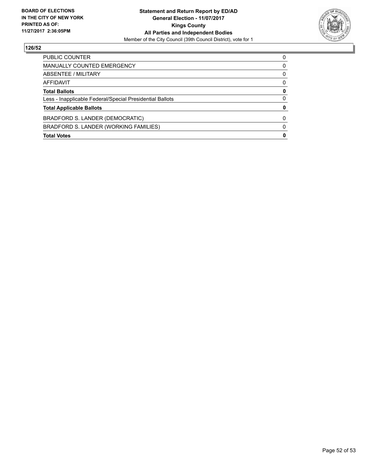

| <b>PUBLIC COUNTER</b>                                    | O |
|----------------------------------------------------------|---|
| MANUALLY COUNTED EMERGENCY                               | 0 |
| ABSENTEE / MILITARY                                      | 0 |
| AFFIDAVIT                                                | 0 |
| <b>Total Ballots</b>                                     | 0 |
| Less - Inapplicable Federal/Special Presidential Ballots | 0 |
| <b>Total Applicable Ballots</b>                          |   |
| BRADFORD S. LANDER (DEMOCRATIC)                          | 0 |
| BRADFORD S. LANDER (WORKING FAMILIES)                    | 0 |
| <b>Total Votes</b>                                       | 0 |